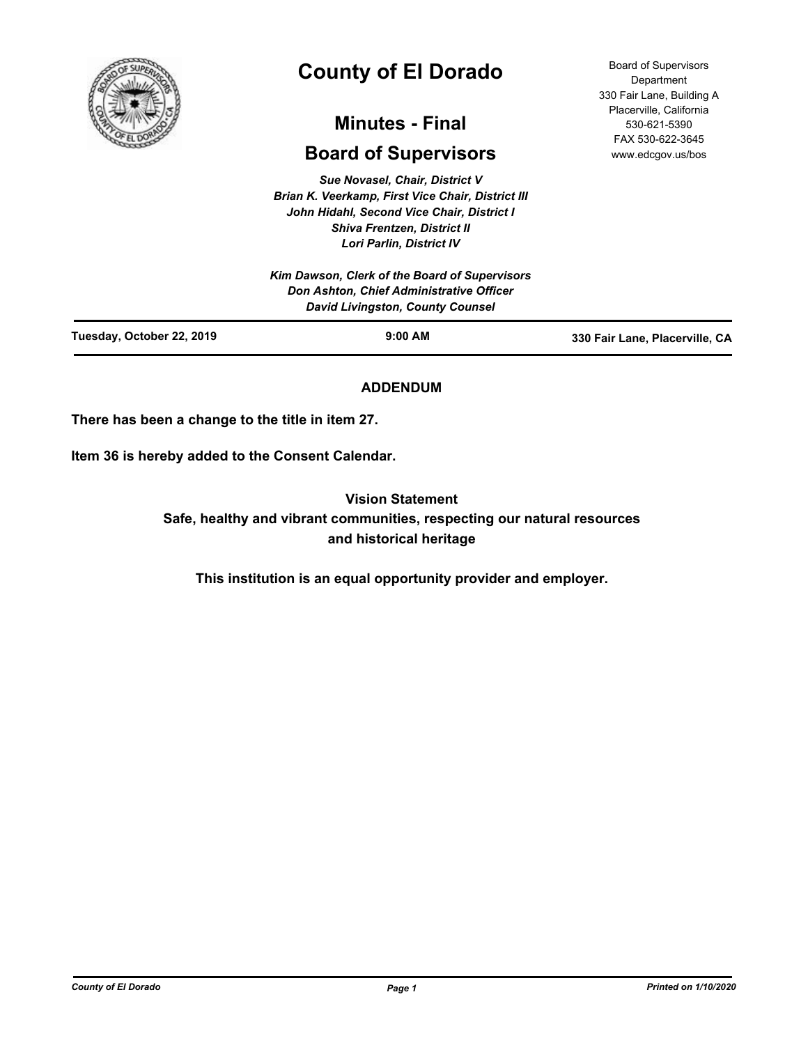

# **County of El Dorado**

# **Minutes - Final**

# **Board of Supervisors**

*Sue Novasel, Chair, District V Brian K. Veerkamp, First Vice Chair, District III John Hidahl, Second Vice Chair, District I Shiva Frentzen, District II Lori Parlin, District IV*

Board of Supervisors **Department** 330 Fair Lane, Building A Placerville, California 530-621-5390 FAX 530-622-3645 www.edcgov.us/bos

|                           | Kim Dawson, Clerk of the Board of Supervisors<br>Don Ashton, Chief Administrative Officer<br><b>David Livingston, County Counsel</b> |                                |
|---------------------------|--------------------------------------------------------------------------------------------------------------------------------------|--------------------------------|
| Tuesday, October 22, 2019 | $9:00$ AM                                                                                                                            | 330 Fair Lane, Placerville, CA |

# **ADDENDUM**

**There has been a change to the title in item 27.**

**Item 36 is hereby added to the Consent Calendar.**

**Vision Statement** 

**Safe, healthy and vibrant communities, respecting our natural resources and historical heritage**

**This institution is an equal opportunity provider and employer.**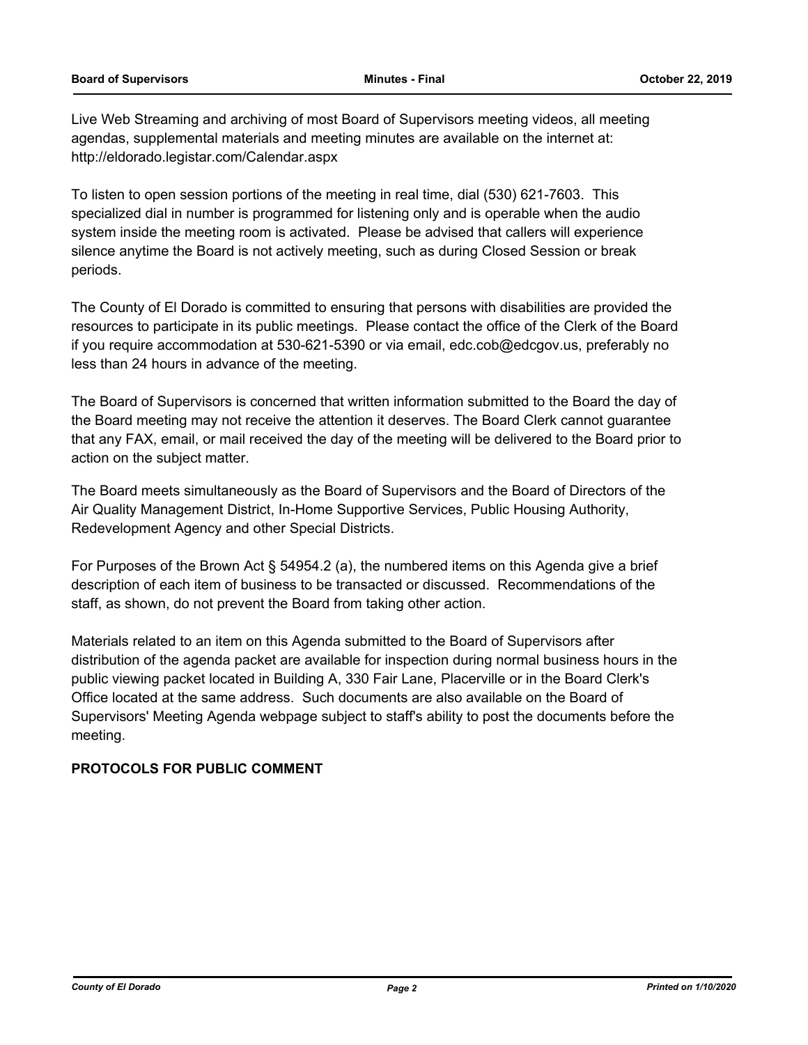Live Web Streaming and archiving of most Board of Supervisors meeting videos, all meeting agendas, supplemental materials and meeting minutes are available on the internet at: http://eldorado.legistar.com/Calendar.aspx

To listen to open session portions of the meeting in real time, dial (530) 621-7603. This specialized dial in number is programmed for listening only and is operable when the audio system inside the meeting room is activated. Please be advised that callers will experience silence anytime the Board is not actively meeting, such as during Closed Session or break periods.

The County of El Dorado is committed to ensuring that persons with disabilities are provided the resources to participate in its public meetings. Please contact the office of the Clerk of the Board if you require accommodation at 530-621-5390 or via email, edc.cob@edcgov.us, preferably no less than 24 hours in advance of the meeting.

The Board of Supervisors is concerned that written information submitted to the Board the day of the Board meeting may not receive the attention it deserves. The Board Clerk cannot guarantee that any FAX, email, or mail received the day of the meeting will be delivered to the Board prior to action on the subject matter.

The Board meets simultaneously as the Board of Supervisors and the Board of Directors of the Air Quality Management District, In-Home Supportive Services, Public Housing Authority, Redevelopment Agency and other Special Districts.

For Purposes of the Brown Act § 54954.2 (a), the numbered items on this Agenda give a brief description of each item of business to be transacted or discussed. Recommendations of the staff, as shown, do not prevent the Board from taking other action.

Materials related to an item on this Agenda submitted to the Board of Supervisors after distribution of the agenda packet are available for inspection during normal business hours in the public viewing packet located in Building A, 330 Fair Lane, Placerville or in the Board Clerk's Office located at the same address. Such documents are also available on the Board of Supervisors' Meeting Agenda webpage subject to staff's ability to post the documents before the meeting.

### **PROTOCOLS FOR PUBLIC COMMENT**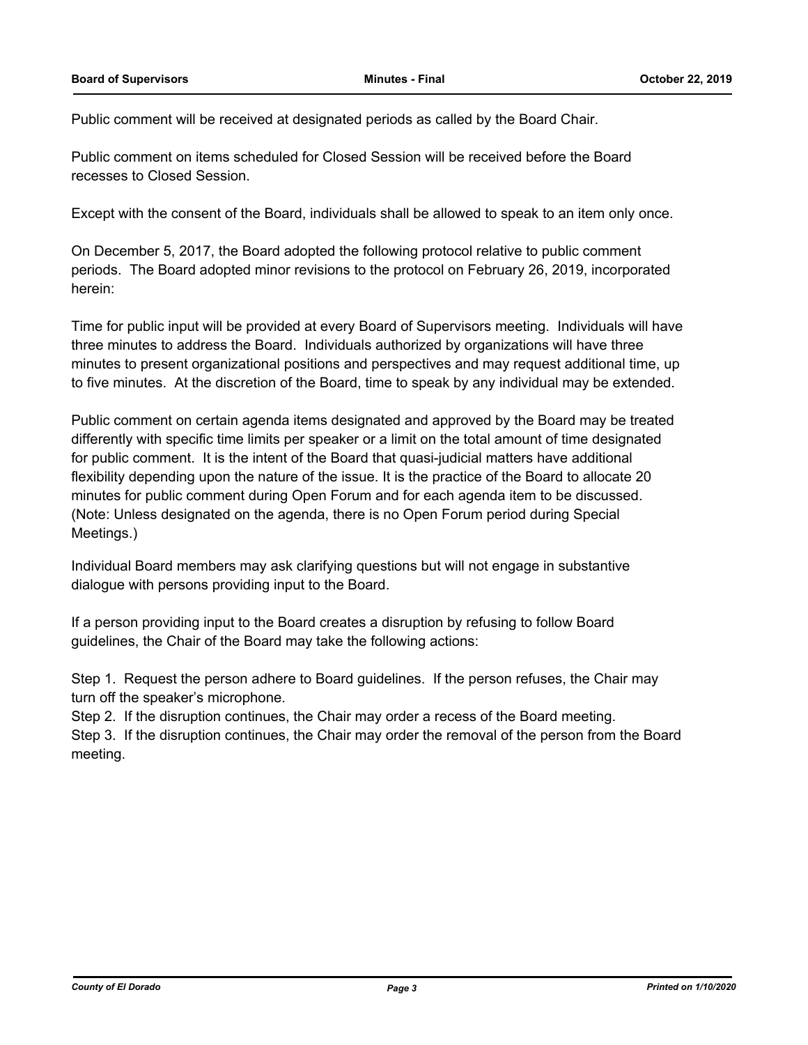Public comment will be received at designated periods as called by the Board Chair.

Public comment on items scheduled for Closed Session will be received before the Board recesses to Closed Session.

Except with the consent of the Board, individuals shall be allowed to speak to an item only once.

On December 5, 2017, the Board adopted the following protocol relative to public comment periods. The Board adopted minor revisions to the protocol on February 26, 2019, incorporated herein:

Time for public input will be provided at every Board of Supervisors meeting. Individuals will have three minutes to address the Board. Individuals authorized by organizations will have three minutes to present organizational positions and perspectives and may request additional time, up to five minutes. At the discretion of the Board, time to speak by any individual may be extended.

Public comment on certain agenda items designated and approved by the Board may be treated differently with specific time limits per speaker or a limit on the total amount of time designated for public comment. It is the intent of the Board that quasi-judicial matters have additional flexibility depending upon the nature of the issue. It is the practice of the Board to allocate 20 minutes for public comment during Open Forum and for each agenda item to be discussed. (Note: Unless designated on the agenda, there is no Open Forum period during Special Meetings.)

Individual Board members may ask clarifying questions but will not engage in substantive dialogue with persons providing input to the Board.

If a person providing input to the Board creates a disruption by refusing to follow Board guidelines, the Chair of the Board may take the following actions:

Step 1. Request the person adhere to Board guidelines. If the person refuses, the Chair may turn off the speaker's microphone.

Step 2. If the disruption continues, the Chair may order a recess of the Board meeting.

Step 3. If the disruption continues, the Chair may order the removal of the person from the Board meeting.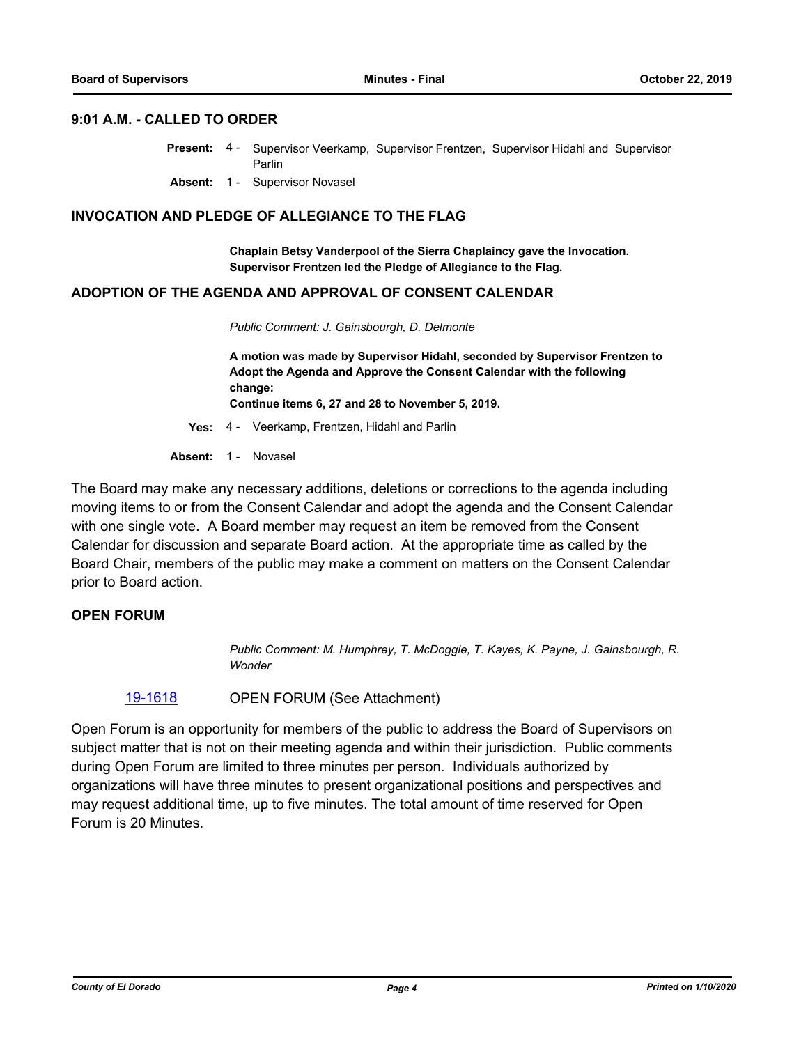#### **9:01 A.M. - CALLED TO ORDER**

- Present: 4 Supervisor Veerkamp, Supervisor Frentzen, Supervisor Hidahl and Supervisor Parlin
	- **Absent:** 1 Supervisor Novasel

#### **INVOCATION AND PLEDGE OF ALLEGIANCE TO THE FLAG**

**Chaplain Betsy Vanderpool of the Sierra Chaplaincy gave the Invocation. Supervisor Frentzen led the Pledge of Allegiance to the Flag.**

#### **ADOPTION OF THE AGENDA AND APPROVAL OF CONSENT CALENDAR**

*Public Comment: J. Gainsbourgh, D. Delmonte*

**A motion was made by Supervisor Hidahl, seconded by Supervisor Frentzen to Adopt the Agenda and Approve the Consent Calendar with the following change:**

**Continue items 6, 27 and 28 to November 5, 2019.**

**Yes:** 4 - Veerkamp, Frentzen, Hidahl and Parlin

Absent: 1 - Novasel

The Board may make any necessary additions, deletions or corrections to the agenda including moving items to or from the Consent Calendar and adopt the agenda and the Consent Calendar with one single vote. A Board member may request an item be removed from the Consent Calendar for discussion and separate Board action. At the appropriate time as called by the Board Chair, members of the public may make a comment on matters on the Consent Calendar prior to Board action.

#### **OPEN FORUM**

*Public Comment: M. Humphrey, T. McDoggle, T. Kayes, K. Payne, J. Gainsbourgh, R. Wonder*

#### [19-1618](http://eldorado.legistar.com/gateway.aspx?m=l&id=/matter.aspx?key=26942) OPEN FORUM (See Attachment)

Open Forum is an opportunity for members of the public to address the Board of Supervisors on subject matter that is not on their meeting agenda and within their jurisdiction. Public comments during Open Forum are limited to three minutes per person. Individuals authorized by organizations will have three minutes to present organizational positions and perspectives and may request additional time, up to five minutes. The total amount of time reserved for Open Forum is 20 Minutes.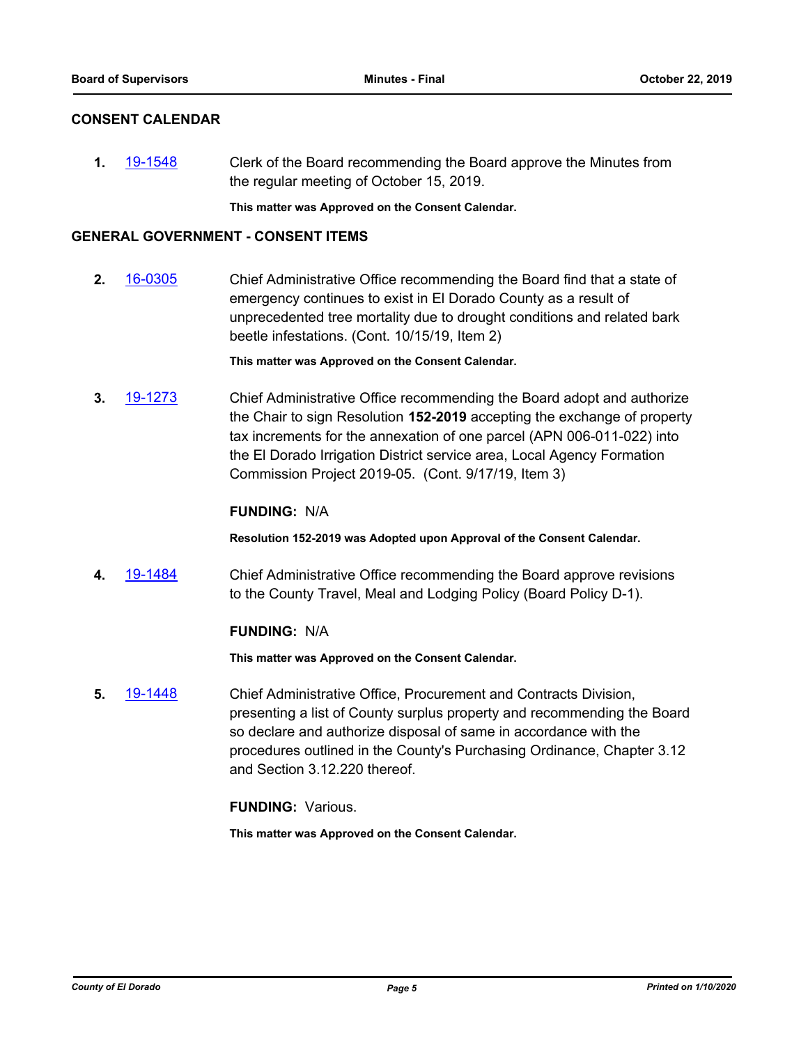#### **CONSENT CALENDAR**

**1.** [19-1548](http://eldorado.legistar.com/gateway.aspx?m=l&id=/matter.aspx?key=26870) Clerk of the Board recommending the Board approve the Minutes from the regular meeting of October 15, 2019.

**This matter was Approved on the Consent Calendar.**

#### **GENERAL GOVERNMENT - CONSENT ITEMS**

**2.** [16-0305](http://eldorado.legistar.com/gateway.aspx?m=l&id=/matter.aspx?key=20961) Chief Administrative Office recommending the Board find that a state of emergency continues to exist in El Dorado County as a result of unprecedented tree mortality due to drought conditions and related bark beetle infestations. (Cont. 10/15/19, Item 2)

**This matter was Approved on the Consent Calendar.**

**3.** [19-1273](http://eldorado.legistar.com/gateway.aspx?m=l&id=/matter.aspx?key=26595) Chief Administrative Office recommending the Board adopt and authorize the Chair to sign Resolution **152-2019** accepting the exchange of property tax increments for the annexation of one parcel (APN 006-011-022) into the El Dorado Irrigation District service area, Local Agency Formation Commission Project 2019-05. (Cont. 9/17/19, Item 3)

#### **FUNDING:** N/A

**Resolution 152-2019 was Adopted upon Approval of the Consent Calendar.**

**4.** [19-1484](http://eldorado.legistar.com/gateway.aspx?m=l&id=/matter.aspx?key=26805) Chief Administrative Office recommending the Board approve revisions to the County Travel, Meal and Lodging Policy (Board Policy D-1).

#### **FUNDING:** N/A

**This matter was Approved on the Consent Calendar.**

**5.** [19-1448](http://eldorado.legistar.com/gateway.aspx?m=l&id=/matter.aspx?key=26769) Chief Administrative Office, Procurement and Contracts Division, presenting a list of County surplus property and recommending the Board so declare and authorize disposal of same in accordance with the procedures outlined in the County's Purchasing Ordinance, Chapter 3.12 and Section 3.12.220 thereof.

**FUNDING:** Various.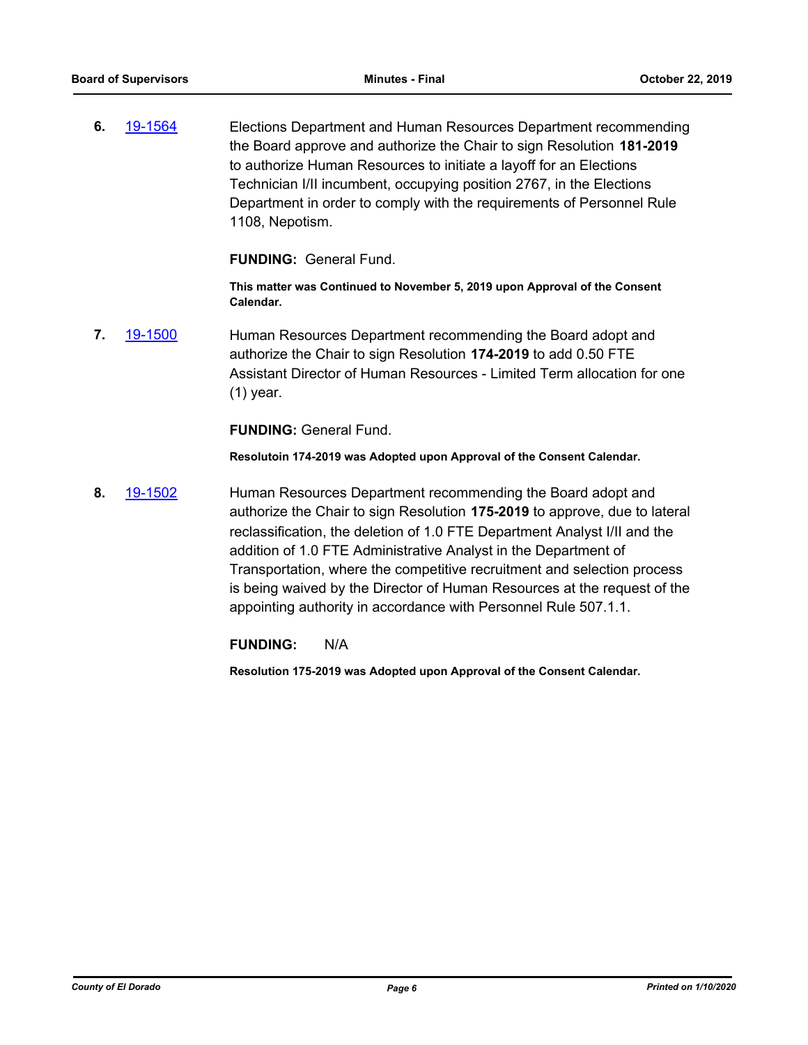**6.** [19-1564](http://eldorado.legistar.com/gateway.aspx?m=l&id=/matter.aspx?key=26888) Elections Department and Human Resources Department recommending the Board approve and authorize the Chair to sign Resolution **181-2019**  to authorize Human Resources to initiate a layoff for an Elections Technician I/II incumbent, occupying position 2767, in the Elections Department in order to comply with the requirements of Personnel Rule 1108, Nepotism.

**FUNDING:** General Fund.

**This matter was Continued to November 5, 2019 upon Approval of the Consent Calendar.**

**7.** [19-1500](http://eldorado.legistar.com/gateway.aspx?m=l&id=/matter.aspx?key=26822) Human Resources Department recommending the Board adopt and authorize the Chair to sign Resolution **174-2019** to add 0.50 FTE Assistant Director of Human Resources - Limited Term allocation for one (1) year.

**FUNDING:** General Fund.

**Resolutoin 174-2019 was Adopted upon Approval of the Consent Calendar.**

**8.** [19-1502](http://eldorado.legistar.com/gateway.aspx?m=l&id=/matter.aspx?key=26824) Human Resources Department recommending the Board adopt and authorize the Chair to sign Resolution **175-2019** to approve, due to lateral reclassification, the deletion of 1.0 FTE Department Analyst I/II and the addition of 1.0 FTE Administrative Analyst in the Department of Transportation, where the competitive recruitment and selection process is being waived by the Director of Human Resources at the request of the appointing authority in accordance with Personnel Rule 507.1.1.

**FUNDING:** N/A

**Resolution 175-2019 was Adopted upon Approval of the Consent Calendar.**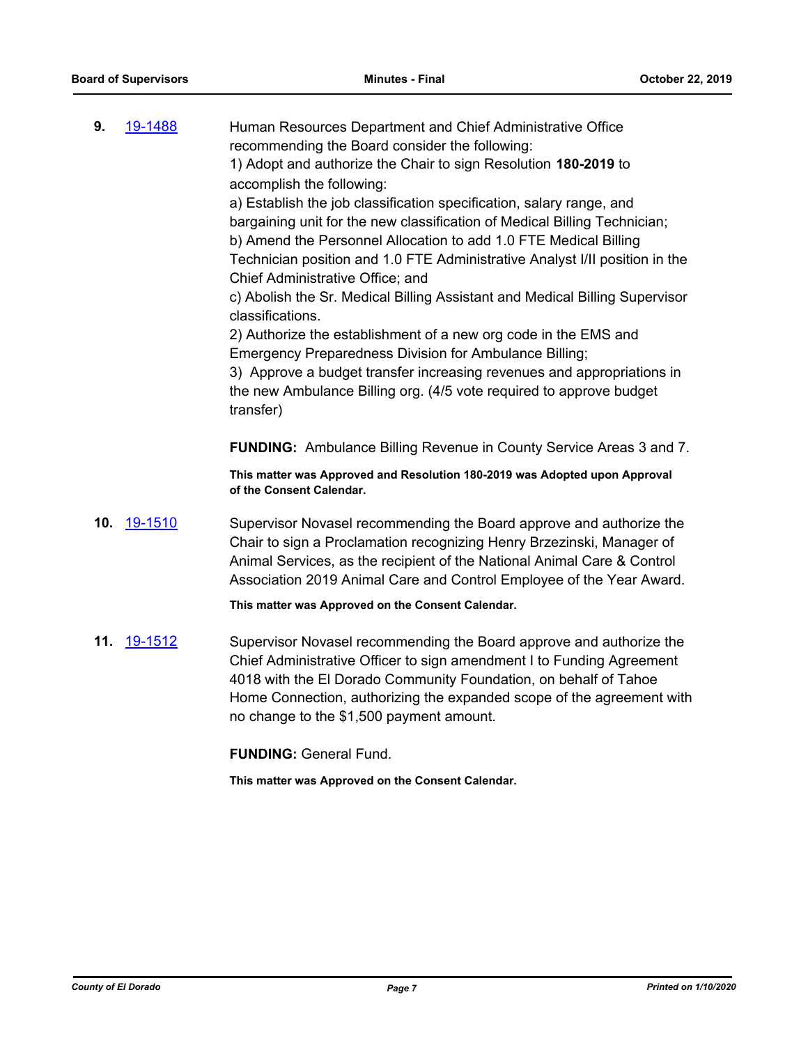| 9.  | 19-1488            | Human Resources Department and Chief Administrative Office<br>recommending the Board consider the following:<br>1) Adopt and authorize the Chair to sign Resolution 180-2019 to<br>accomplish the following:<br>a) Establish the job classification specification, salary range, and                                                  |
|-----|--------------------|---------------------------------------------------------------------------------------------------------------------------------------------------------------------------------------------------------------------------------------------------------------------------------------------------------------------------------------|
|     |                    | bargaining unit for the new classification of Medical Billing Technician;<br>b) Amend the Personnel Allocation to add 1.0 FTE Medical Billing<br>Technician position and 1.0 FTE Administrative Analyst I/II position in the<br>Chief Administrative Office; and                                                                      |
|     |                    | c) Abolish the Sr. Medical Billing Assistant and Medical Billing Supervisor<br>classifications.                                                                                                                                                                                                                                       |
|     |                    | 2) Authorize the establishment of a new org code in the EMS and                                                                                                                                                                                                                                                                       |
|     |                    | Emergency Preparedness Division for Ambulance Billing;<br>3) Approve a budget transfer increasing revenues and appropriations in<br>the new Ambulance Billing org. (4/5 vote required to approve budget                                                                                                                               |
|     |                    | transfer)                                                                                                                                                                                                                                                                                                                             |
|     |                    | <b>FUNDING:</b> Ambulance Billing Revenue in County Service Areas 3 and 7.                                                                                                                                                                                                                                                            |
|     |                    | This matter was Approved and Resolution 180-2019 was Adopted upon Approval<br>of the Consent Calendar.                                                                                                                                                                                                                                |
|     | <b>10.</b> 19-1510 | Supervisor Novasel recommending the Board approve and authorize the<br>Chair to sign a Proclamation recognizing Henry Brzezinski, Manager of<br>Animal Services, as the recipient of the National Animal Care & Control<br>Association 2019 Animal Care and Control Employee of the Year Award.                                       |
|     |                    | This matter was Approved on the Consent Calendar.                                                                                                                                                                                                                                                                                     |
| 11. | 19-1512            | Supervisor Novasel recommending the Board approve and authorize the<br>Chief Administrative Officer to sign amendment I to Funding Agreement<br>4018 with the El Dorado Community Foundation, on behalf of Tahoe<br>Home Connection, authorizing the expanded scope of the agreement with<br>no change to the \$1,500 payment amount. |
|     |                    | <b>FUNDING: General Fund.</b>                                                                                                                                                                                                                                                                                                         |
|     |                    | This matter was Approved on the Consent Calendar.                                                                                                                                                                                                                                                                                     |
|     |                    |                                                                                                                                                                                                                                                                                                                                       |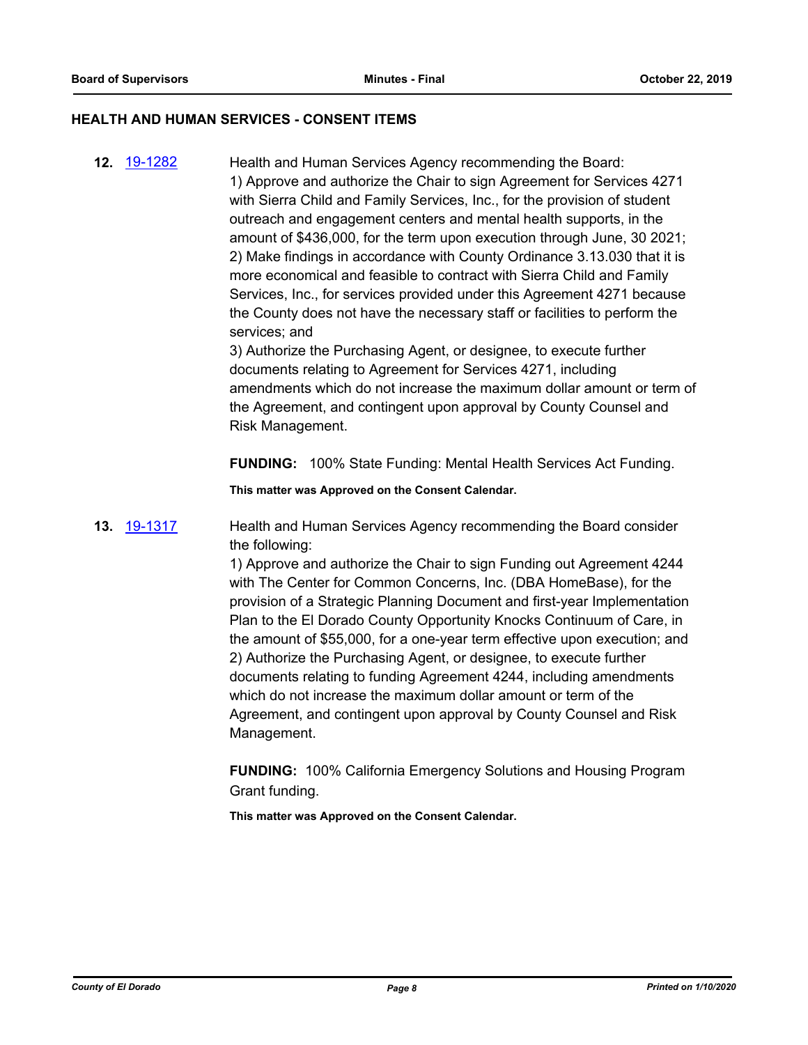#### **HEALTH AND HUMAN SERVICES - CONSENT ITEMS**

**12.** [19-1282](http://eldorado.legistar.com/gateway.aspx?m=l&id=/matter.aspx?key=26604) Health and Human Services Agency recommending the Board: 1) Approve and authorize the Chair to sign Agreement for Services 4271 with Sierra Child and Family Services, Inc., for the provision of student outreach and engagement centers and mental health supports, in the amount of \$436,000, for the term upon execution through June, 30 2021; 2) Make findings in accordance with County Ordinance 3.13.030 that it is more economical and feasible to contract with Sierra Child and Family Services, Inc., for services provided under this Agreement 4271 because the County does not have the necessary staff or facilities to perform the services; and

> 3) Authorize the Purchasing Agent, or designee, to execute further documents relating to Agreement for Services 4271, including amendments which do not increase the maximum dollar amount or term of the Agreement, and contingent upon approval by County Counsel and Risk Management.

**FUNDING:** 100% State Funding: Mental Health Services Act Funding.

**This matter was Approved on the Consent Calendar.**

### **13.** [19-1317](http://eldorado.legistar.com/gateway.aspx?m=l&id=/matter.aspx?key=26639) Health and Human Services Agency recommending the Board consider the following:

1) Approve and authorize the Chair to sign Funding out Agreement 4244 with The Center for Common Concerns, Inc. (DBA HomeBase), for the provision of a Strategic Planning Document and first-year Implementation Plan to the El Dorado County Opportunity Knocks Continuum of Care, in the amount of \$55,000, for a one-year term effective upon execution; and 2) Authorize the Purchasing Agent, or designee, to execute further documents relating to funding Agreement 4244, including amendments which do not increase the maximum dollar amount or term of the Agreement, and contingent upon approval by County Counsel and Risk Management.

**FUNDING:** 100% California Emergency Solutions and Housing Program Grant funding.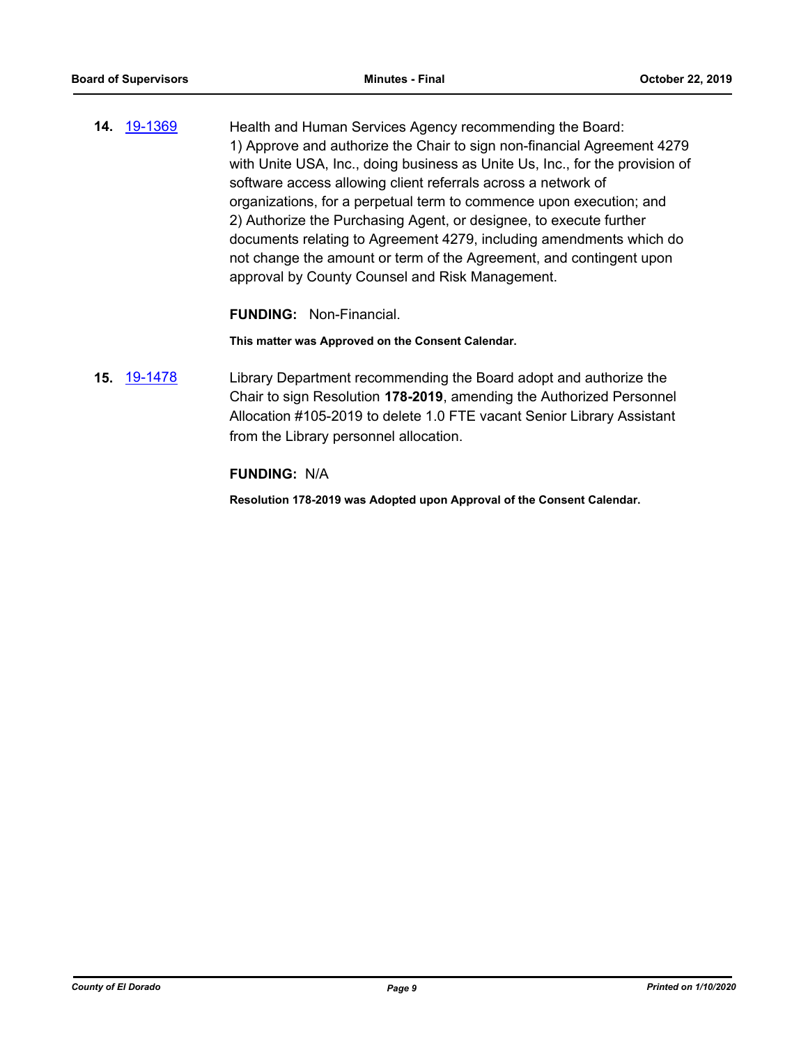**14.** [19-1369](http://eldorado.legistar.com/gateway.aspx?m=l&id=/matter.aspx?key=26690) Health and Human Services Agency recommending the Board: 1) Approve and authorize the Chair to sign non-financial Agreement 4279 with Unite USA, Inc., doing business as Unite Us, Inc., for the provision of software access allowing client referrals across a network of organizations, for a perpetual term to commence upon execution; and 2) Authorize the Purchasing Agent, or designee, to execute further documents relating to Agreement 4279, including amendments which do not change the amount or term of the Agreement, and contingent upon approval by County Counsel and Risk Management.

**FUNDING:** Non-Financial.

**This matter was Approved on the Consent Calendar.**

**15.** [19-1478](http://eldorado.legistar.com/gateway.aspx?m=l&id=/matter.aspx?key=26799) Library Department recommending the Board adopt and authorize the Chair to sign Resolution **178-2019**, amending the Authorized Personnel Allocation #105-2019 to delete 1.0 FTE vacant Senior Library Assistant from the Library personnel allocation.

#### **FUNDING:** N/A

**Resolution 178-2019 was Adopted upon Approval of the Consent Calendar.**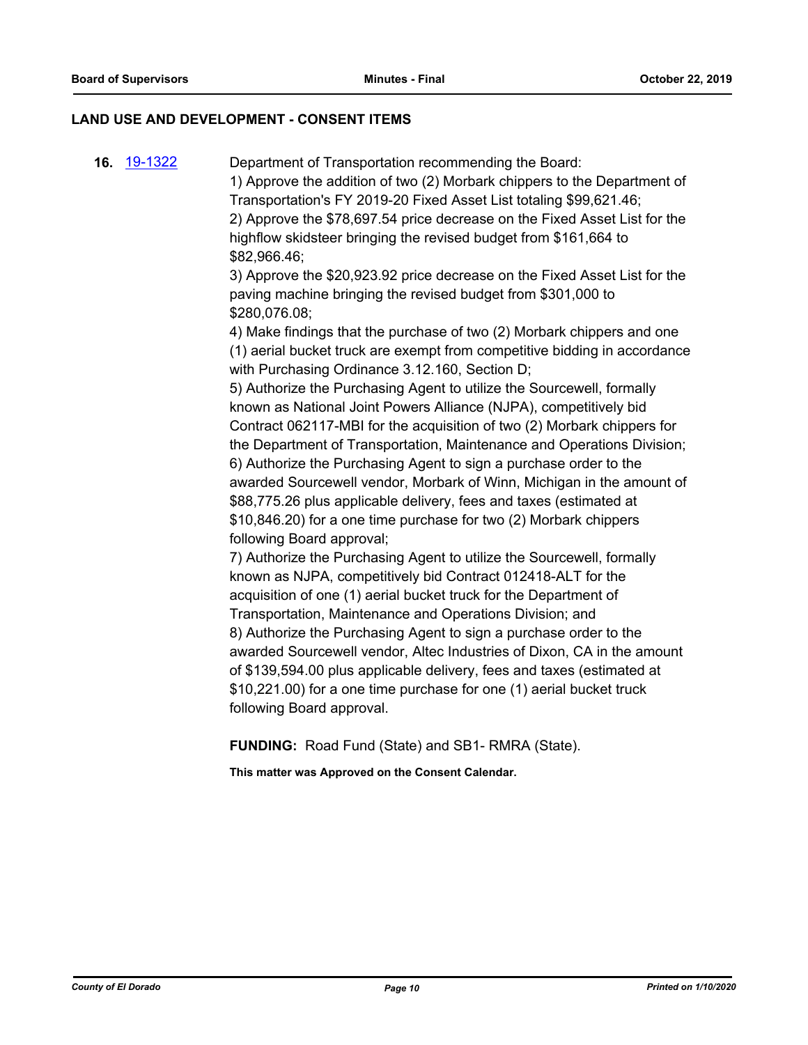#### **LAND USE AND DEVELOPMENT - CONSENT ITEMS**

**16.** [19-1322](http://eldorado.legistar.com/gateway.aspx?m=l&id=/matter.aspx?key=26644) Department of Transportation recommending the Board: 1) Approve the addition of two (2) Morbark chippers to the Department of Transportation's FY 2019-20 Fixed Asset List totaling \$99,621.46; 2) Approve the \$78,697.54 price decrease on the Fixed Asset List for the highflow skidsteer bringing the revised budget from \$161,664 to \$82,966.46; 3) Approve the \$20,923.92 price decrease on the Fixed Asset List for the paving machine bringing the revised budget from \$301,000 to \$280,076.08; 4) Make findings that the purchase of two (2) Morbark chippers and one (1) aerial bucket truck are exempt from competitive bidding in accordance with Purchasing Ordinance 3.12.160, Section D; 5) Authorize the Purchasing Agent to utilize the Sourcewell, formally known as National Joint Powers Alliance (NJPA), competitively bid Contract 062117-MBI for the acquisition of two (2) Morbark chippers for the Department of Transportation, Maintenance and Operations Division; 6) Authorize the Purchasing Agent to sign a purchase order to the awarded Sourcewell vendor, Morbark of Winn, Michigan in the amount of \$88,775.26 plus applicable delivery, fees and taxes (estimated at \$10,846.20) for a one time purchase for two (2) Morbark chippers following Board approval; 7) Authorize the Purchasing Agent to utilize the Sourcewell, formally known as NJPA, competitively bid Contract 012418-ALT for the acquisition of one (1) aerial bucket truck for the Department of Transportation, Maintenance and Operations Division; and 8) Authorize the Purchasing Agent to sign a purchase order to the awarded Sourcewell vendor, Altec Industries of Dixon, CA in the amount of \$139,594.00 plus applicable delivery, fees and taxes (estimated at \$10,221.00) for a one time purchase for one (1) aerial bucket truck following Board approval.

**FUNDING:** Road Fund (State) and SB1- RMRA (State).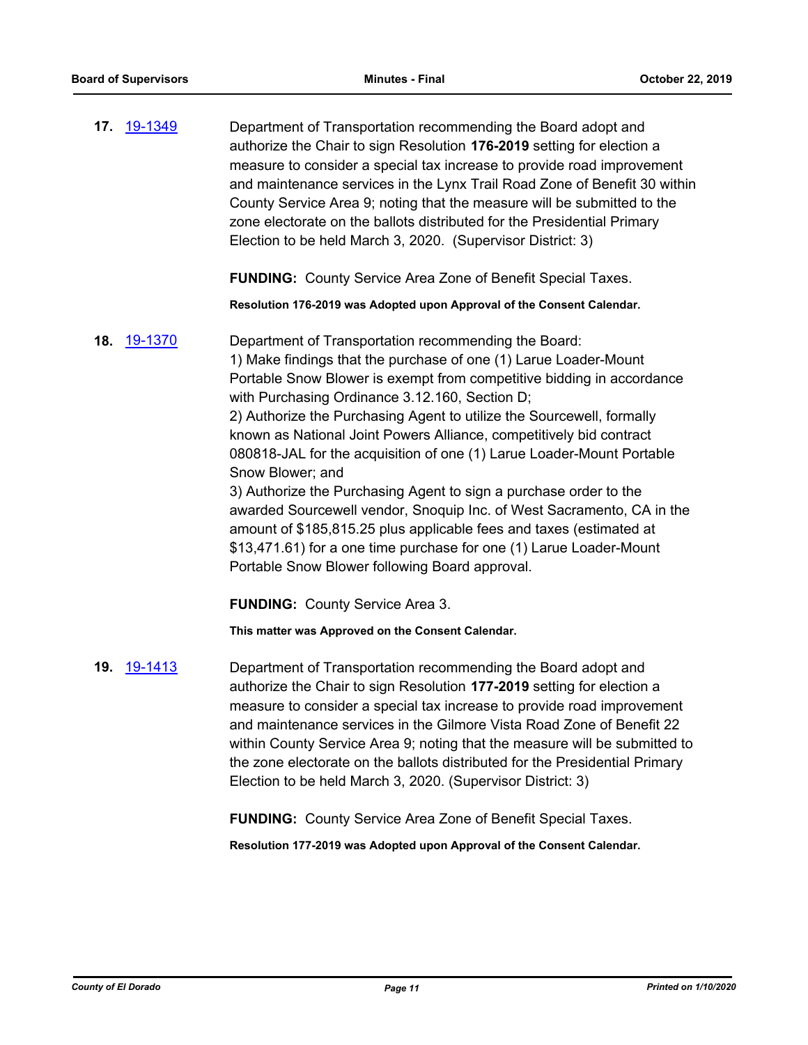**17.** [19-1349](http://eldorado.legistar.com/gateway.aspx?m=l&id=/matter.aspx?key=26670) Department of Transportation recommending the Board adopt and authorize the Chair to sign Resolution **176-2019** setting for election a measure to consider a special tax increase to provide road improvement and maintenance services in the Lynx Trail Road Zone of Benefit 30 within County Service Area 9; noting that the measure will be submitted to the zone electorate on the ballots distributed for the Presidential Primary Election to be held March 3, 2020. (Supervisor District: 3)

**FUNDING:** County Service Area Zone of Benefit Special Taxes.

**Resolution 176-2019 was Adopted upon Approval of the Consent Calendar.**

**18.** [19-1370](http://eldorado.legistar.com/gateway.aspx?m=l&id=/matter.aspx?key=26691) Department of Transportation recommending the Board: 1) Make findings that the purchase of one (1) Larue Loader-Mount Portable Snow Blower is exempt from competitive bidding in accordance with Purchasing Ordinance 3.12.160, Section D; 2) Authorize the Purchasing Agent to utilize the Sourcewell, formally known as National Joint Powers Alliance, competitively bid contract 080818-JAL for the acquisition of one (1) Larue Loader-Mount Portable Snow Blower; and 3) Authorize the Purchasing Agent to sign a purchase order to the awarded Sourcewell vendor, Snoquip Inc. of West Sacramento, CA in the amount of \$185,815.25 plus applicable fees and taxes (estimated at \$13,471.61) for a one time purchase for one (1) Larue Loader-Mount Portable Snow Blower following Board approval.

**FUNDING:** County Service Area 3.

**This matter was Approved on the Consent Calendar.**

**19.** [19-1413](http://eldorado.legistar.com/gateway.aspx?m=l&id=/matter.aspx?key=26734) Department of Transportation recommending the Board adopt and authorize the Chair to sign Resolution **177-2019** setting for election a measure to consider a special tax increase to provide road improvement and maintenance services in the Gilmore Vista Road Zone of Benefit 22 within County Service Area 9; noting that the measure will be submitted to the zone electorate on the ballots distributed for the Presidential Primary Election to be held March 3, 2020. (Supervisor District: 3)

**FUNDING:** County Service Area Zone of Benefit Special Taxes.

**Resolution 177-2019 was Adopted upon Approval of the Consent Calendar.**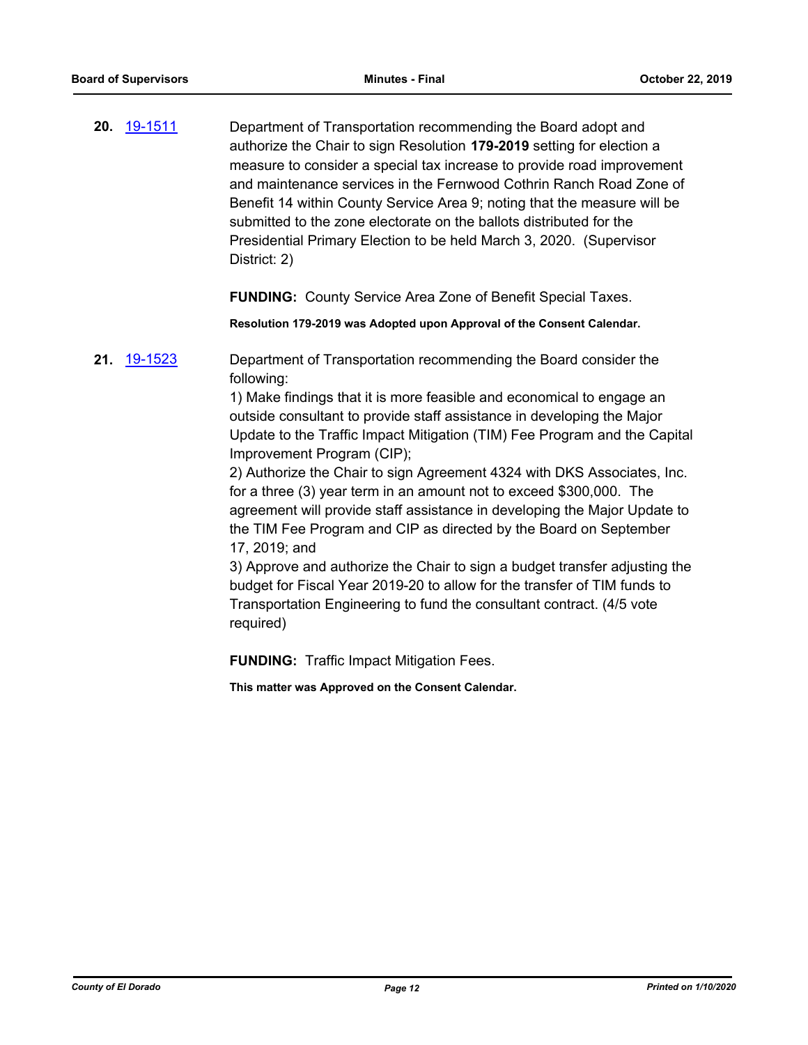**20.** [19-1511](http://eldorado.legistar.com/gateway.aspx?m=l&id=/matter.aspx?key=26833) Department of Transportation recommending the Board adopt and authorize the Chair to sign Resolution **179-2019** setting for election a measure to consider a special tax increase to provide road improvement and maintenance services in the Fernwood Cothrin Ranch Road Zone of Benefit 14 within County Service Area 9; noting that the measure will be submitted to the zone electorate on the ballots distributed for the Presidential Primary Election to be held March 3, 2020. (Supervisor District: 2)

**FUNDING:** County Service Area Zone of Benefit Special Taxes.

**Resolution 179-2019 was Adopted upon Approval of the Consent Calendar.**

**21.** [19-1523](http://eldorado.legistar.com/gateway.aspx?m=l&id=/matter.aspx?key=26845) Department of Transportation recommending the Board consider the following:

> 1) Make findings that it is more feasible and economical to engage an outside consultant to provide staff assistance in developing the Major Update to the Traffic Impact Mitigation (TIM) Fee Program and the Capital Improvement Program (CIP);

> 2) Authorize the Chair to sign Agreement 4324 with DKS Associates, Inc. for a three (3) year term in an amount not to exceed \$300,000. The agreement will provide staff assistance in developing the Major Update to the TIM Fee Program and CIP as directed by the Board on September 17, 2019; and

> 3) Approve and authorize the Chair to sign a budget transfer adjusting the budget for Fiscal Year 2019-20 to allow for the transfer of TIM funds to Transportation Engineering to fund the consultant contract. (4/5 vote required)

**FUNDING:** Traffic Impact Mitigation Fees.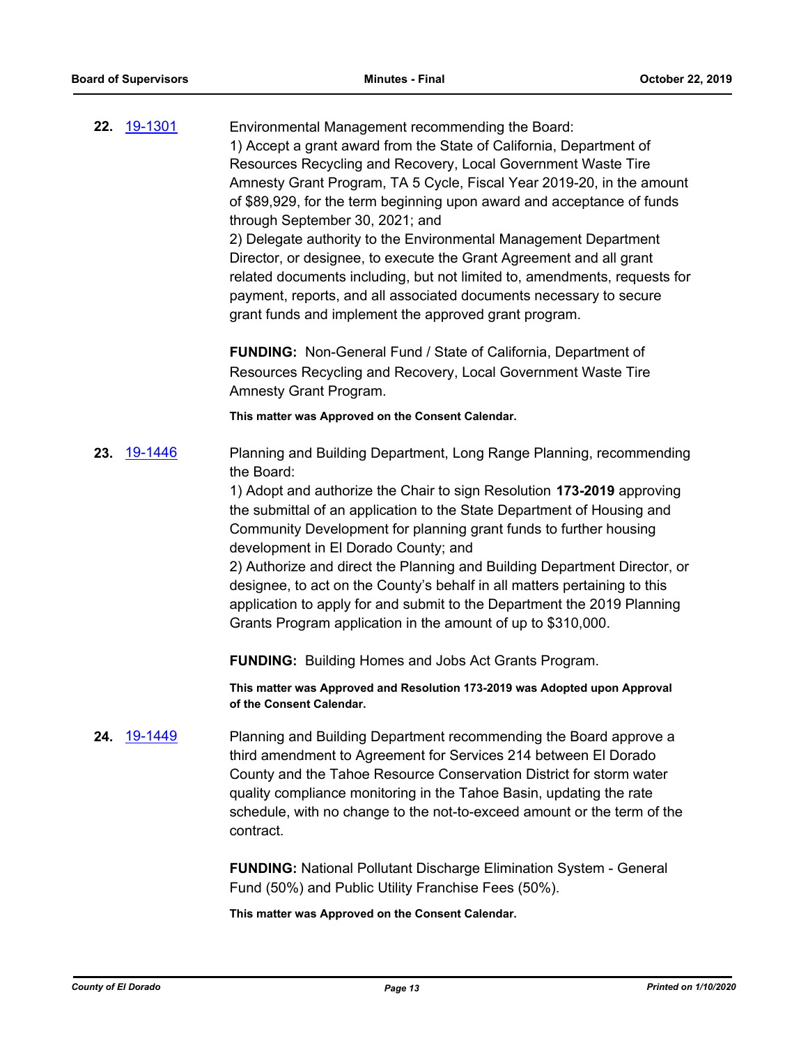|     | 22. 19-1301 | Environmental Management recommending the Board:<br>1) Accept a grant award from the State of California, Department of<br>Resources Recycling and Recovery, Local Government Waste Tire<br>Amnesty Grant Program, TA 5 Cycle, Fiscal Year 2019-20, in the amount<br>of \$89,929, for the term beginning upon award and acceptance of funds<br>through September 30, 2021; and<br>2) Delegate authority to the Environmental Management Department<br>Director, or designee, to execute the Grant Agreement and all grant<br>related documents including, but not limited to, amendments, requests for<br>payment, reports, and all associated documents necessary to secure |
|-----|-------------|------------------------------------------------------------------------------------------------------------------------------------------------------------------------------------------------------------------------------------------------------------------------------------------------------------------------------------------------------------------------------------------------------------------------------------------------------------------------------------------------------------------------------------------------------------------------------------------------------------------------------------------------------------------------------|
|     |             | grant funds and implement the approved grant program.<br><b>FUNDING:</b> Non-General Fund / State of California, Department of<br>Resources Recycling and Recovery, Local Government Waste Tire<br>Amnesty Grant Program.<br>This matter was Approved on the Consent Calendar.                                                                                                                                                                                                                                                                                                                                                                                               |
| 23. | 19-1446     | Planning and Building Department, Long Range Planning, recommending<br>the Board:                                                                                                                                                                                                                                                                                                                                                                                                                                                                                                                                                                                            |

1) Adopt and authorize the Chair to sign Resolution **173-2019** approving the submittal of an application to the State Department of Housing and Community Development for planning grant funds to further housing development in El Dorado County; and

2) Authorize and direct the Planning and Building Department Director, or designee, to act on the County's behalf in all matters pertaining to this application to apply for and submit to the Department the 2019 Planning Grants Program application in the amount of up to \$310,000.

**FUNDING:** Building Homes and Jobs Act Grants Program.

**This matter was Approved and Resolution 173-2019 was Adopted upon Approval of the Consent Calendar.**

**24.** [19-1449](http://eldorado.legistar.com/gateway.aspx?m=l&id=/matter.aspx?key=26770) Planning and Building Department recommending the Board approve a third amendment to Agreement for Services 214 between El Dorado County and the Tahoe Resource Conservation District for storm water quality compliance monitoring in the Tahoe Basin, updating the rate schedule, with no change to the not-to-exceed amount or the term of the contract.

> **FUNDING:** National Pollutant Discharge Elimination System - General Fund (50%) and Public Utility Franchise Fees (50%).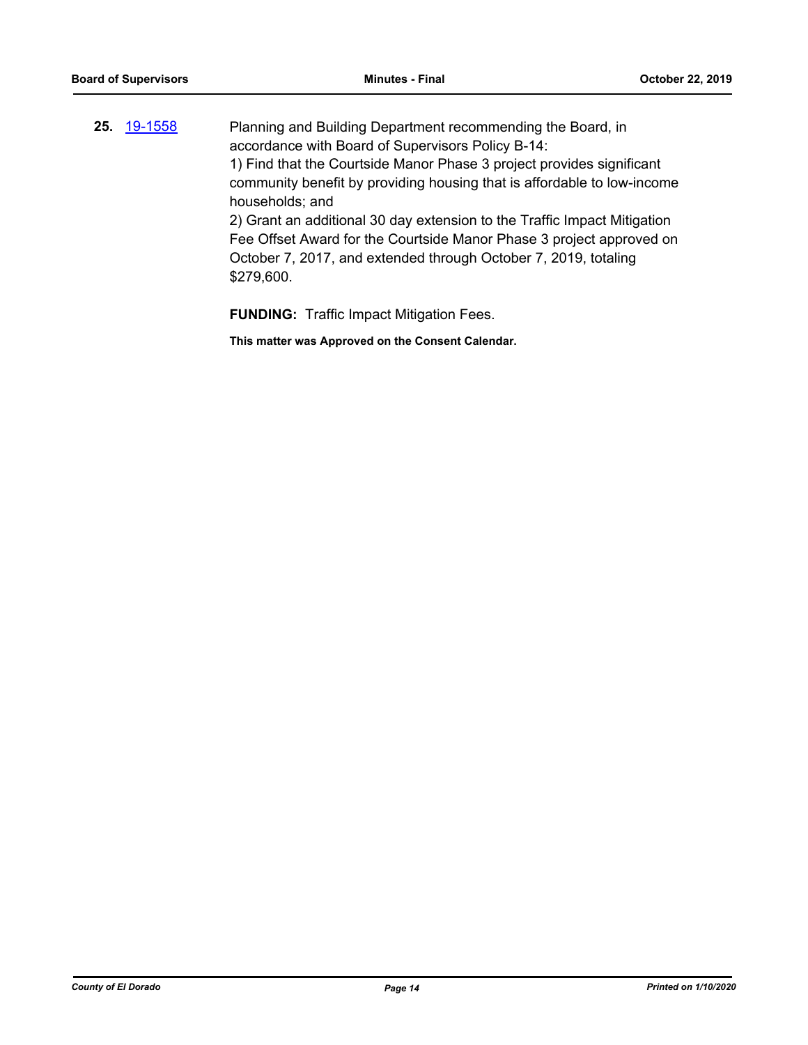| 25. <u>19-1558</u> | Planning and Building Department recommending the Board, in              |
|--------------------|--------------------------------------------------------------------------|
|                    | accordance with Board of Supervisors Policy B-14:                        |
|                    | 1) Find that the Courtside Manor Phase 3 project provides significant    |
|                    | community benefit by providing housing that is affordable to low-income  |
|                    | households; and                                                          |
|                    | 2) Grant an additional 30 day extension to the Traffic Impact Mitigation |
|                    | Fee Offset Award for the Courtside Manor Phase 3 project approved on     |
|                    | October 7, 2017, and extended through October 7, 2019, totaling          |
|                    | \$279,600.                                                               |
|                    |                                                                          |

**FUNDING:** Traffic Impact Mitigation Fees.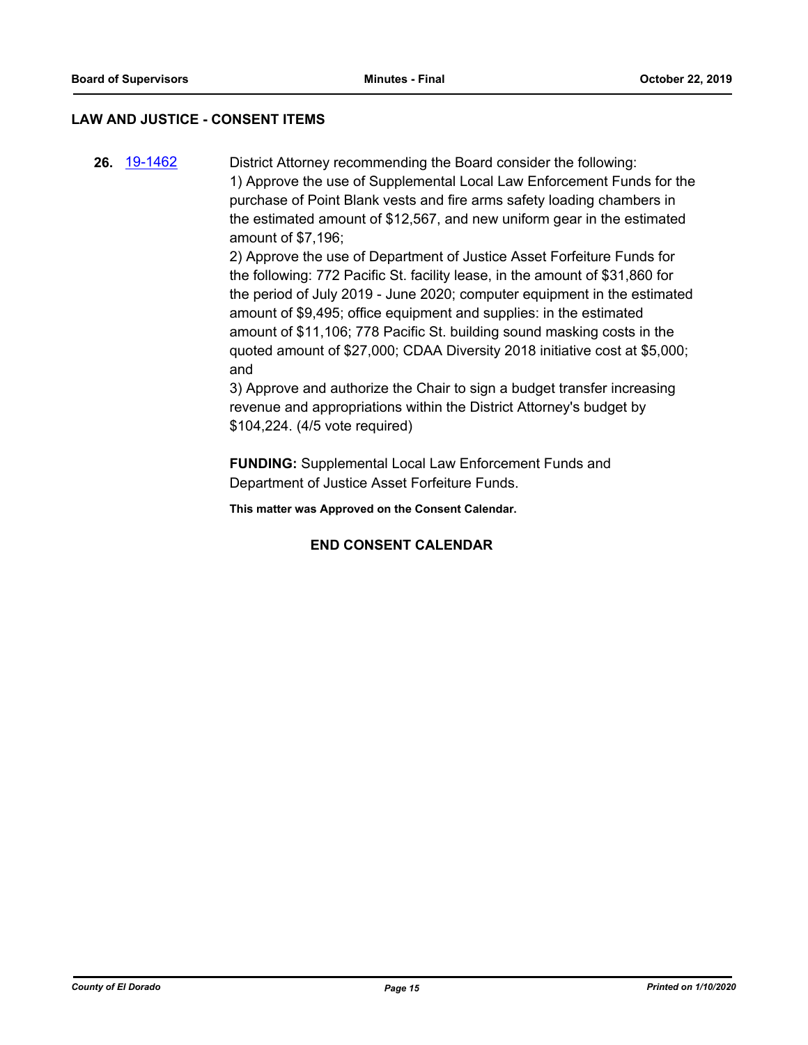#### **LAW AND JUSTICE - CONSENT ITEMS**

**26.** [19-1462](http://eldorado.legistar.com/gateway.aspx?m=l&id=/matter.aspx?key=26783) District Attorney recommending the Board consider the following: 1) Approve the use of Supplemental Local Law Enforcement Funds for the purchase of Point Blank vests and fire arms safety loading chambers in the estimated amount of \$12,567, and new uniform gear in the estimated amount of \$7,196;

> 2) Approve the use of Department of Justice Asset Forfeiture Funds for the following: 772 Pacific St. facility lease, in the amount of \$31,860 for the period of July 2019 - June 2020; computer equipment in the estimated amount of \$9,495; office equipment and supplies: in the estimated amount of \$11,106; 778 Pacific St. building sound masking costs in the quoted amount of \$27,000; CDAA Diversity 2018 initiative cost at \$5,000; and

3) Approve and authorize the Chair to sign a budget transfer increasing revenue and appropriations within the District Attorney's budget by \$104,224. (4/5 vote required)

**FUNDING:** Supplemental Local Law Enforcement Funds and Department of Justice Asset Forfeiture Funds.

**This matter was Approved on the Consent Calendar.**

#### **END CONSENT CALENDAR**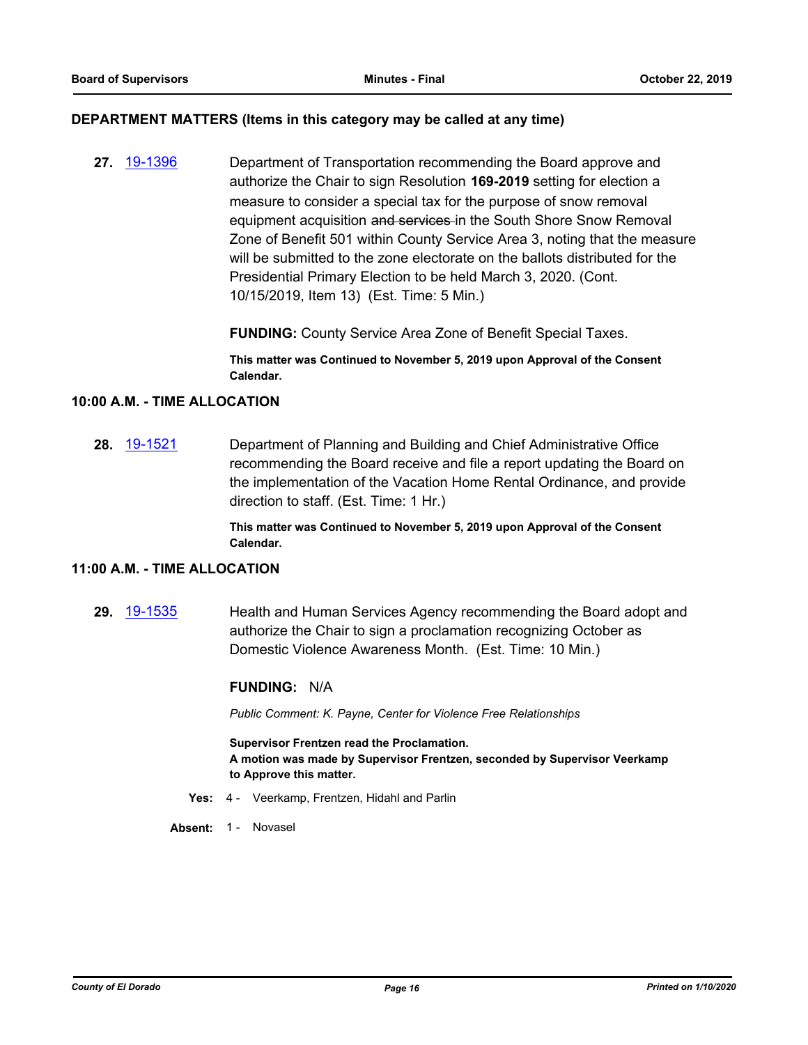#### **DEPARTMENT MATTERS (Items in this category may be called at any time)**

**27.** [19-1396](http://eldorado.legistar.com/gateway.aspx?m=l&id=/matter.aspx?key=26717) Department of Transportation recommending the Board approve and authorize the Chair to sign Resolution **169-2019** setting for election a measure to consider a special tax for the purpose of snow removal equipment acquisition and services in the South Shore Snow Removal Zone of Benefit 501 within County Service Area 3, noting that the measure will be submitted to the zone electorate on the ballots distributed for the Presidential Primary Election to be held March 3, 2020. (Cont. 10/15/2019, Item 13) (Est. Time: 5 Min.)

**FUNDING:** County Service Area Zone of Benefit Special Taxes.

**This matter was Continued to November 5, 2019 upon Approval of the Consent Calendar.**

#### **10:00 A.M. - TIME ALLOCATION**

**28.** [19-1521](http://eldorado.legistar.com/gateway.aspx?m=l&id=/matter.aspx?key=26843) Department of Planning and Building and Chief Administrative Office recommending the Board receive and file a report updating the Board on the implementation of the Vacation Home Rental Ordinance, and provide direction to staff. (Est. Time: 1 Hr.)

> **This matter was Continued to November 5, 2019 upon Approval of the Consent Calendar.**

#### **11:00 A.M. - TIME ALLOCATION**

**29.** [19-1535](http://eldorado.legistar.com/gateway.aspx?m=l&id=/matter.aspx?key=26857) Health and Human Services Agency recommending the Board adopt and authorize the Chair to sign a proclamation recognizing October as Domestic Violence Awareness Month. (Est. Time: 10 Min.)

#### **FUNDING:** N/A

*Public Comment: K. Payne, Center for Violence Free Relationships*

**Supervisor Frentzen read the Proclamation. A motion was made by Supervisor Frentzen, seconded by Supervisor Veerkamp to Approve this matter.**

- **Yes:** 4 Veerkamp, Frentzen, Hidahl and Parlin
- Absent: 1 Novasel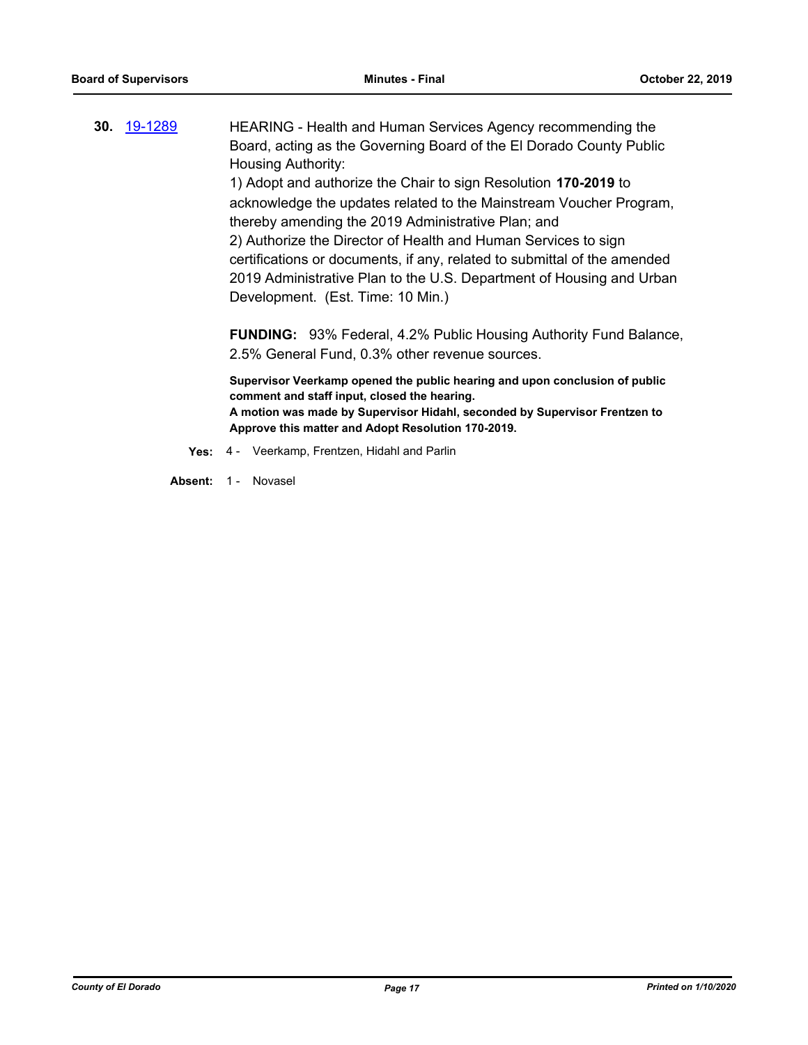**30.** [19-1289](http://eldorado.legistar.com/gateway.aspx?m=l&id=/matter.aspx?key=26611) HEARING - Health and Human Services Agency recommending the Board, acting as the Governing Board of the El Dorado County Public Housing Authority: 1) Adopt and authorize the Chair to sign Resolution **170-2019** to acknowledge the updates related to the Mainstream Voucher Program, thereby amending the 2019 Administrative Plan; and 2) Authorize the Director of Health and Human Services to sign certifications or documents, if any, related to submittal of the amended 2019 Administrative Plan to the U.S. Department of Housing and Urban Development. (Est. Time: 10 Min.)

**FUNDING:** 93% Federal, 4.2% Public Housing Authority Fund Balance, 2.5% General Fund, 0.3% other revenue sources.

**Supervisor Veerkamp opened the public hearing and upon conclusion of public comment and staff input, closed the hearing. A motion was made by Supervisor Hidahl, seconded by Supervisor Frentzen to Approve this matter and Adopt Resolution 170-2019.**

- **Yes:** 4 Veerkamp, Frentzen, Hidahl and Parlin
- Absent: 1 Novasel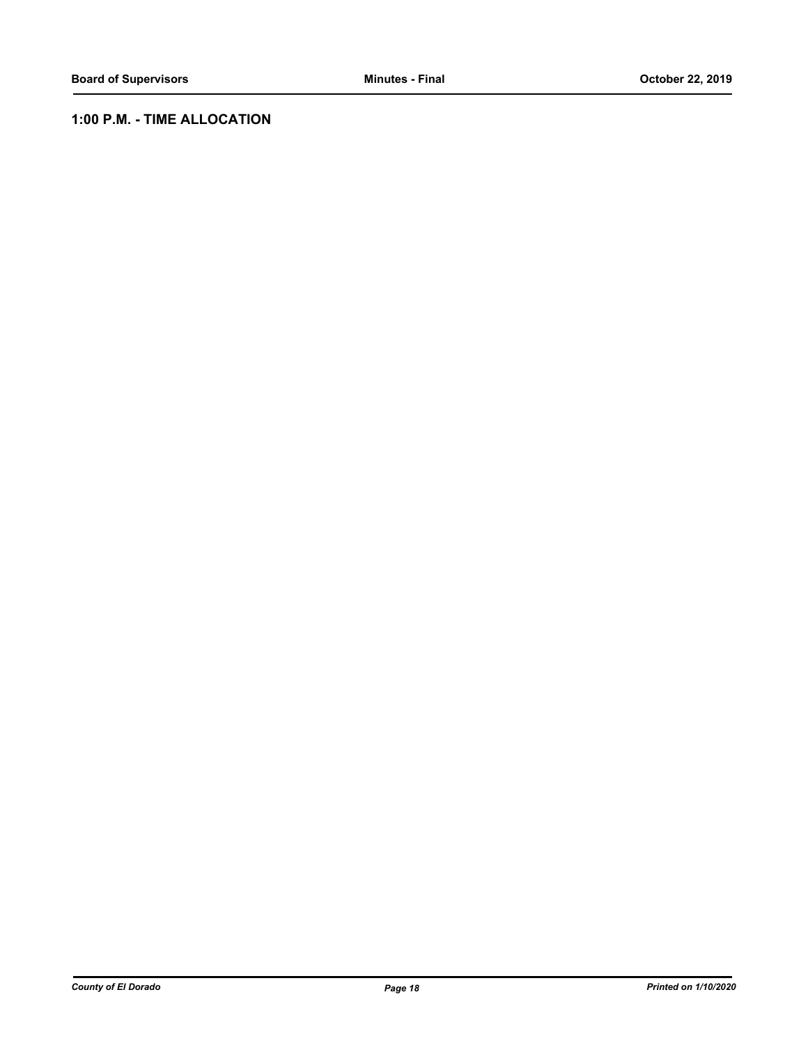# **1:00 P.M. - TIME ALLOCATION**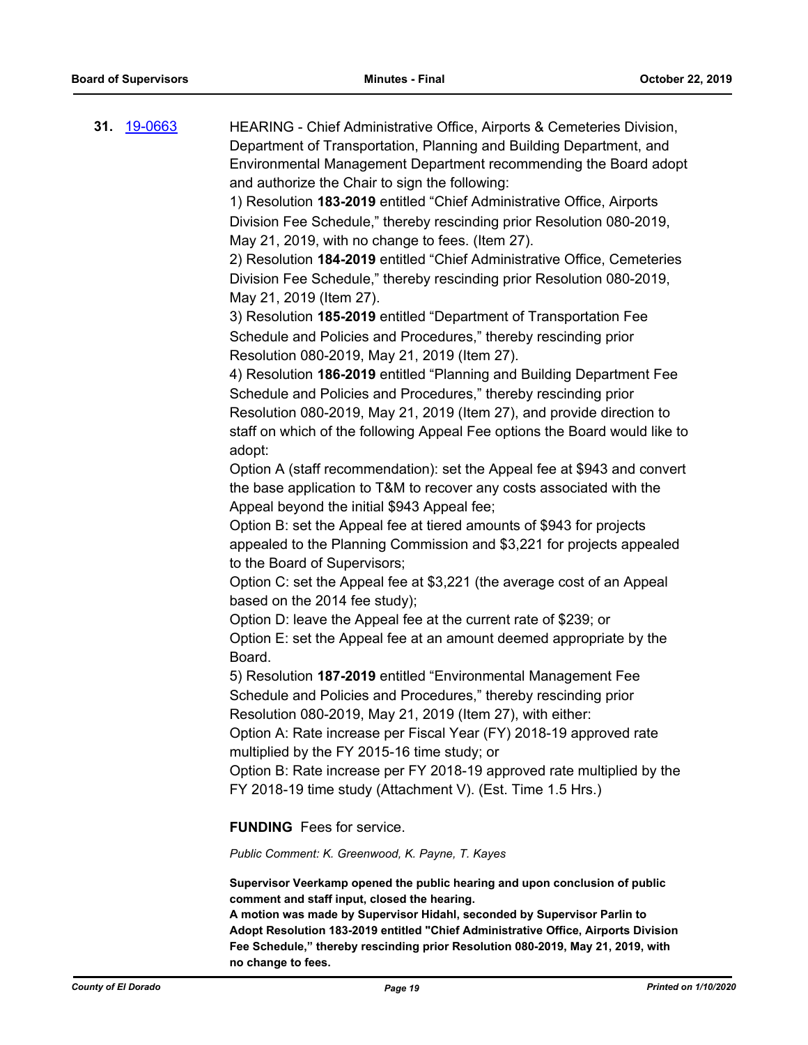| 31. <u>19-0663</u> | HEARING - Chief Administrative Office, Airports & Cemeteries Division,<br>Department of Transportation, Planning and Building Department, and<br>Environmental Management Department recommending the Board adopt<br>and authorize the Chair to sign the following:<br>1) Resolution 183-2019 entitled "Chief Administrative Office, Airports<br>Division Fee Schedule," thereby rescinding prior Resolution 080-2019,<br>May 21, 2019, with no change to fees. (Item 27).<br>2) Resolution 184-2019 entitled "Chief Administrative Office, Cemeteries<br>Division Fee Schedule," thereby rescinding prior Resolution 080-2019,<br>May 21, 2019 (Item 27).<br>3) Resolution 185-2019 entitled "Department of Transportation Fee<br>Schedule and Policies and Procedures," thereby rescinding prior<br>Resolution 080-2019, May 21, 2019 (Item 27).<br>4) Resolution 186-2019 entitled "Planning and Building Department Fee<br>Schedule and Policies and Procedures," thereby rescinding prior<br>Resolution 080-2019, May 21, 2019 (Item 27), and provide direction to<br>staff on which of the following Appeal Fee options the Board would like to<br>adopt:<br>Option A (staff recommendation): set the Appeal fee at \$943 and convert<br>the base application to T&M to recover any costs associated with the<br>Appeal beyond the initial \$943 Appeal fee;<br>Option B: set the Appeal fee at tiered amounts of \$943 for projects<br>appealed to the Planning Commission and \$3,221 for projects appealed<br>to the Board of Supervisors;<br>Option C: set the Appeal fee at \$3,221 (the average cost of an Appeal<br>based on the 2014 fee study);<br>Option D: leave the Appeal fee at the current rate of \$239; or |
|--------------------|-----------------------------------------------------------------------------------------------------------------------------------------------------------------------------------------------------------------------------------------------------------------------------------------------------------------------------------------------------------------------------------------------------------------------------------------------------------------------------------------------------------------------------------------------------------------------------------------------------------------------------------------------------------------------------------------------------------------------------------------------------------------------------------------------------------------------------------------------------------------------------------------------------------------------------------------------------------------------------------------------------------------------------------------------------------------------------------------------------------------------------------------------------------------------------------------------------------------------------------------------------------------------------------------------------------------------------------------------------------------------------------------------------------------------------------------------------------------------------------------------------------------------------------------------------------------------------------------------------------------------------------------------------------------------------------------------------------------------------------|
|                    | Option E: set the Appeal fee at an amount deemed appropriate by the<br>Board.                                                                                                                                                                                                                                                                                                                                                                                                                                                                                                                                                                                                                                                                                                                                                                                                                                                                                                                                                                                                                                                                                                                                                                                                                                                                                                                                                                                                                                                                                                                                                                                                                                                     |
|                    | 5) Resolution 187-2019 entitled "Environmental Management Fee<br>Schedule and Policies and Procedures," thereby rescinding prior<br>Resolution 080-2019, May 21, 2019 (Item 27), with either:<br>Option A: Rate increase per Fiscal Year (FY) 2018-19 approved rate<br>multiplied by the FY 2015-16 time study; or<br>Option B: Rate increase per FY 2018-19 approved rate multiplied by the<br>FY 2018-19 time study (Attachment V). (Est. Time 1.5 Hrs.)                                                                                                                                                                                                                                                                                                                                                                                                                                                                                                                                                                                                                                                                                                                                                                                                                                                                                                                                                                                                                                                                                                                                                                                                                                                                        |
|                    | <b>FUNDING</b> Fees for service.<br>Public Comment: K. Greenwood, K. Payne, T. Kayes                                                                                                                                                                                                                                                                                                                                                                                                                                                                                                                                                                                                                                                                                                                                                                                                                                                                                                                                                                                                                                                                                                                                                                                                                                                                                                                                                                                                                                                                                                                                                                                                                                              |
|                    |                                                                                                                                                                                                                                                                                                                                                                                                                                                                                                                                                                                                                                                                                                                                                                                                                                                                                                                                                                                                                                                                                                                                                                                                                                                                                                                                                                                                                                                                                                                                                                                                                                                                                                                                   |

**Supervisor Veerkamp opened the public hearing and upon conclusion of public comment and staff input, closed the hearing.**

**A motion was made by Supervisor Hidahl, seconded by Supervisor Parlin to Adopt Resolution 183-2019 entitled "Chief Administrative Office, Airports Division Fee Schedule," thereby rescinding prior Resolution 080-2019, May 21, 2019, with no change to fees.**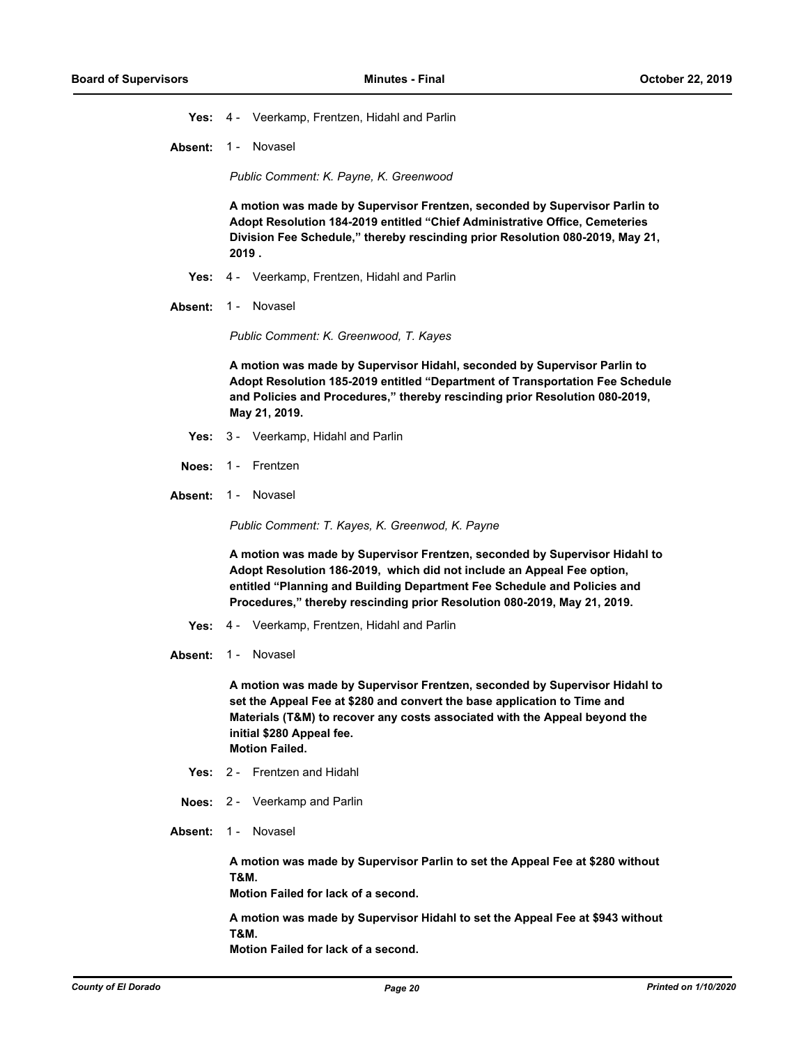**Yes:** 4 - Veerkamp, Frentzen, Hidahl and Parlin

**Absent:** 1 - Novasel

*Public Comment: K. Payne, K. Greenwood*

**A motion was made by Supervisor Frentzen, seconded by Supervisor Parlin to Adopt Resolution 184-2019 entitled "Chief Administrative Office, Cemeteries Division Fee Schedule," thereby rescinding prior Resolution 080-2019, May 21, 2019 .**

- **Yes:** 4 Veerkamp, Frentzen, Hidahl and Parlin
- Absent: 1 Novasel

*Public Comment: K. Greenwood, T. Kayes*

**A motion was made by Supervisor Hidahl, seconded by Supervisor Parlin to Adopt Resolution 185-2019 entitled "Department of Transportation Fee Schedule and Policies and Procedures," thereby rescinding prior Resolution 080-2019, May 21, 2019.**

- **Yes:** 3 Veerkamp, Hidahl and Parlin
- **Noes:** 1 Frentzen
- Absent: 1 Novasel

*Public Comment: T. Kayes, K. Greenwod, K. Payne*

**A motion was made by Supervisor Frentzen, seconded by Supervisor Hidahl to Adopt Resolution 186-2019, which did not include an Appeal Fee option, entitled "Planning and Building Department Fee Schedule and Policies and Procedures," thereby rescinding prior Resolution 080-2019, May 21, 2019.**

- **Yes:** 4 Veerkamp, Frentzen, Hidahl and Parlin
- **Absent:** 1 Novasel

**A motion was made by Supervisor Frentzen, seconded by Supervisor Hidahl to set the Appeal Fee at \$280 and convert the base application to Time and Materials (T&M) to recover any costs associated with the Appeal beyond the initial \$280 Appeal fee. Motion Failed.**

- **Yes:** 2 Frentzen and Hidahl
- **Noes:** 2 Veerkamp and Parlin
- Absent: 1 Novasel

**A motion was made by Supervisor Parlin to set the Appeal Fee at \$280 without T&M.**

**Motion Failed for lack of a second.**

**A motion was made by Supervisor Hidahl to set the Appeal Fee at \$943 without T&M. Motion Failed for lack of a second.**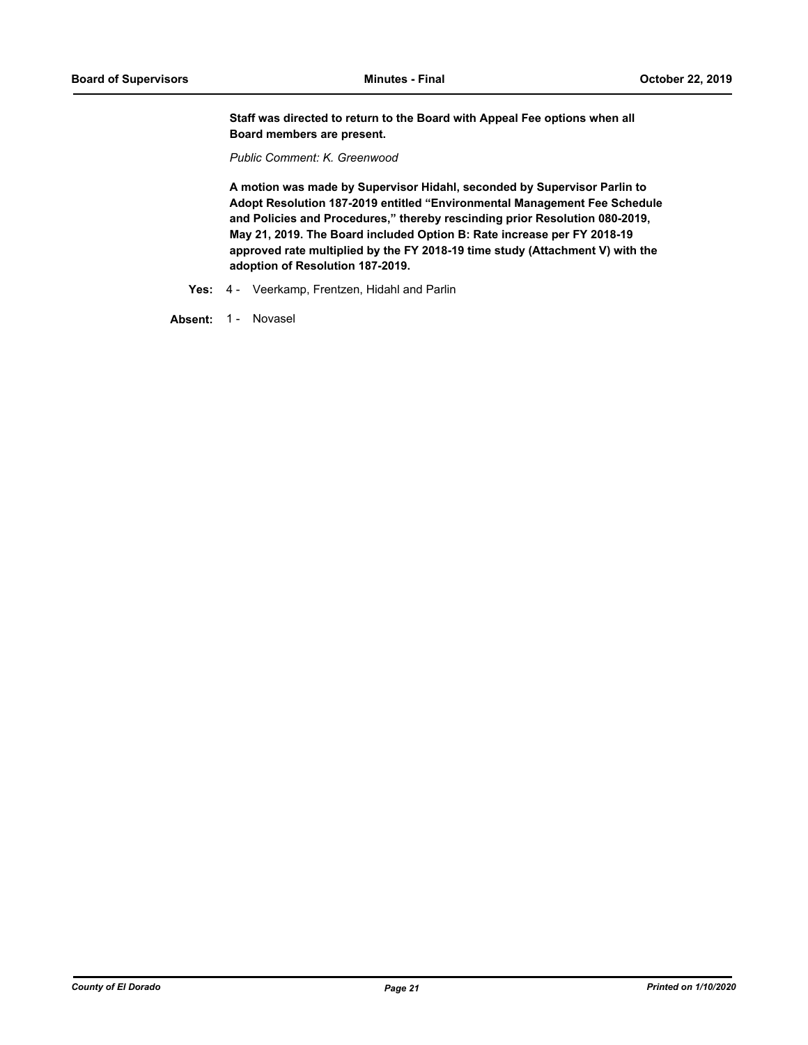**Staff was directed to return to the Board with Appeal Fee options when all Board members are present.**

*Public Comment: K. Greenwood*

**A motion was made by Supervisor Hidahl, seconded by Supervisor Parlin to Adopt Resolution 187-2019 entitled "Environmental Management Fee Schedule and Policies and Procedures," thereby rescinding prior Resolution 080-2019, May 21, 2019. The Board included Option B: Rate increase per FY 2018-19 approved rate multiplied by the FY 2018-19 time study (Attachment V) with the adoption of Resolution 187-2019.**

**Yes:** 4 - Veerkamp, Frentzen, Hidahl and Parlin

Absent: 1 - Novasel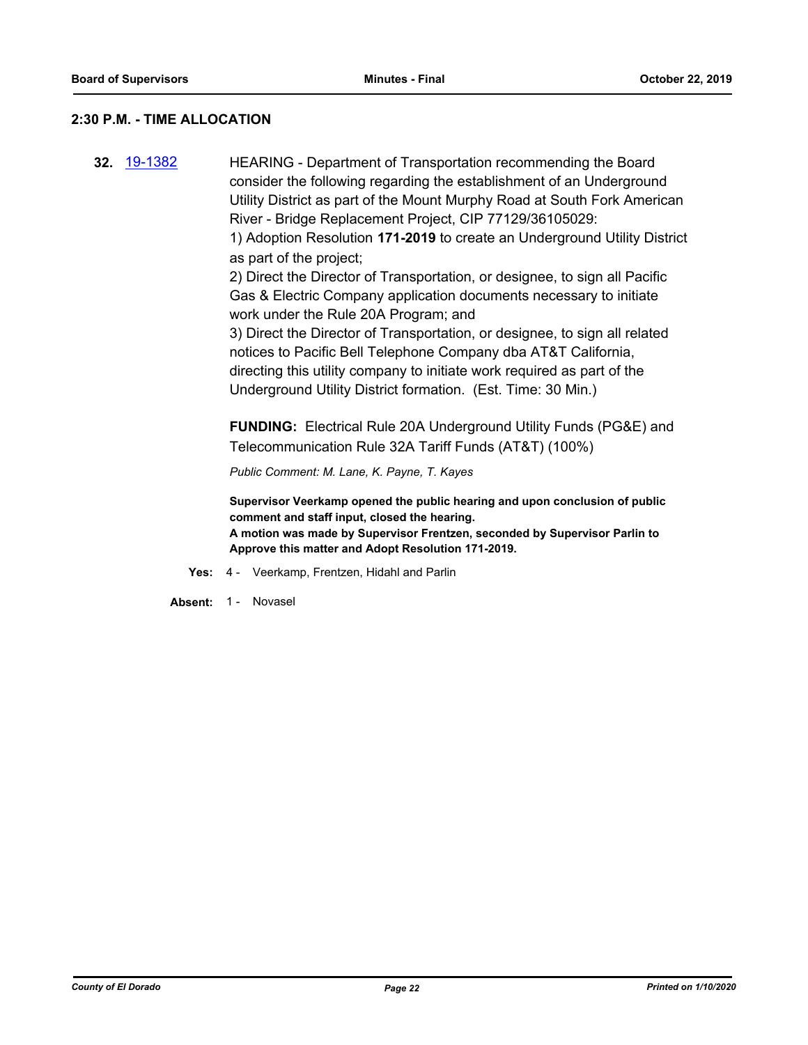#### **2:30 P.M. - TIME ALLOCATION**

**32.** [19-1382](http://eldorado.legistar.com/gateway.aspx?m=l&id=/matter.aspx?key=26703) HEARING - Department of Transportation recommending the Board consider the following regarding the establishment of an Underground Utility District as part of the Mount Murphy Road at South Fork American River - Bridge Replacement Project, CIP 77129/36105029: 1) Adoption Resolution **171-2019** to create an Underground Utility District as part of the project; 2) Direct the Director of Transportation, or designee, to sign all Pacific Gas & Electric Company application documents necessary to initiate work under the Rule 20A Program; and 3) Direct the Director of Transportation, or designee, to sign all related notices to Pacific Bell Telephone Company dba AT&T California, directing this utility company to initiate work required as part of the Underground Utility District formation. (Est. Time: 30 Min.) **FUNDING:** Electrical Rule 20A Underground Utility Funds (PG&E) and Telecommunication Rule 32A Tariff Funds (AT&T) (100%) *Public Comment: M. Lane, K. Payne, T. Kayes* **Supervisor Veerkamp opened the public hearing and upon conclusion of public comment and staff input, closed the hearing.**

> **A motion was made by Supervisor Frentzen, seconded by Supervisor Parlin to Approve this matter and Adopt Resolution 171-2019.**

- **Yes:** 4 Veerkamp, Frentzen, Hidahl and Parlin
- Absent: 1 Novasel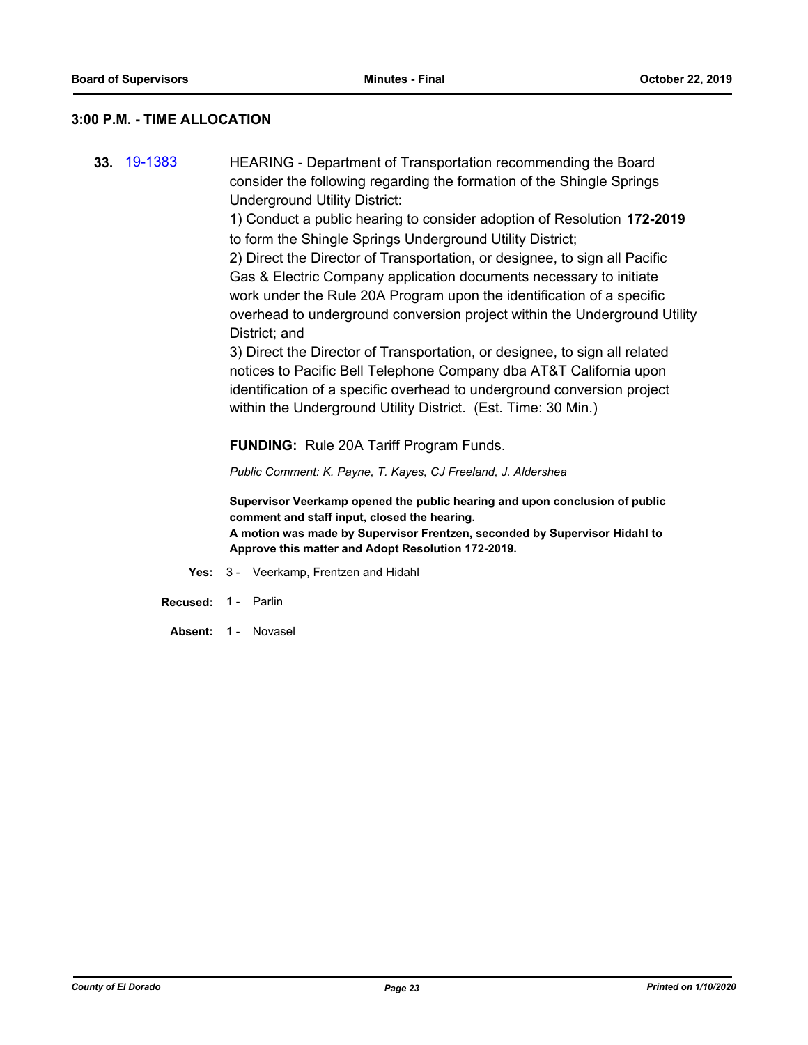#### **3:00 P.M. - TIME ALLOCATION**

**33.** [19-1383](http://eldorado.legistar.com/gateway.aspx?m=l&id=/matter.aspx?key=26704) HEARING - Department of Transportation recommending the Board consider the following regarding the formation of the Shingle Springs Underground Utility District:

> 1) Conduct a public hearing to consider adoption of Resolution **172-2019**  to form the Shingle Springs Underground Utility District;

2) Direct the Director of Transportation, or designee, to sign all Pacific Gas & Electric Company application documents necessary to initiate work under the Rule 20A Program upon the identification of a specific overhead to underground conversion project within the Underground Utility District; and

3) Direct the Director of Transportation, or designee, to sign all related notices to Pacific Bell Telephone Company dba AT&T California upon identification of a specific overhead to underground conversion project within the Underground Utility District. (Est. Time: 30 Min.)

**FUNDING:** Rule 20A Tariff Program Funds.

*Public Comment: K. Payne, T. Kayes, CJ Freeland, J. Aldershea*

**Supervisor Veerkamp opened the public hearing and upon conclusion of public comment and staff input, closed the hearing.**

**A motion was made by Supervisor Frentzen, seconded by Supervisor Hidahl to Approve this matter and Adopt Resolution 172-2019.**

- **Yes:** 3 Veerkamp, Frentzen and Hidahl
- **Recused:** 1 Parlin
	- Absent: 1 Novasel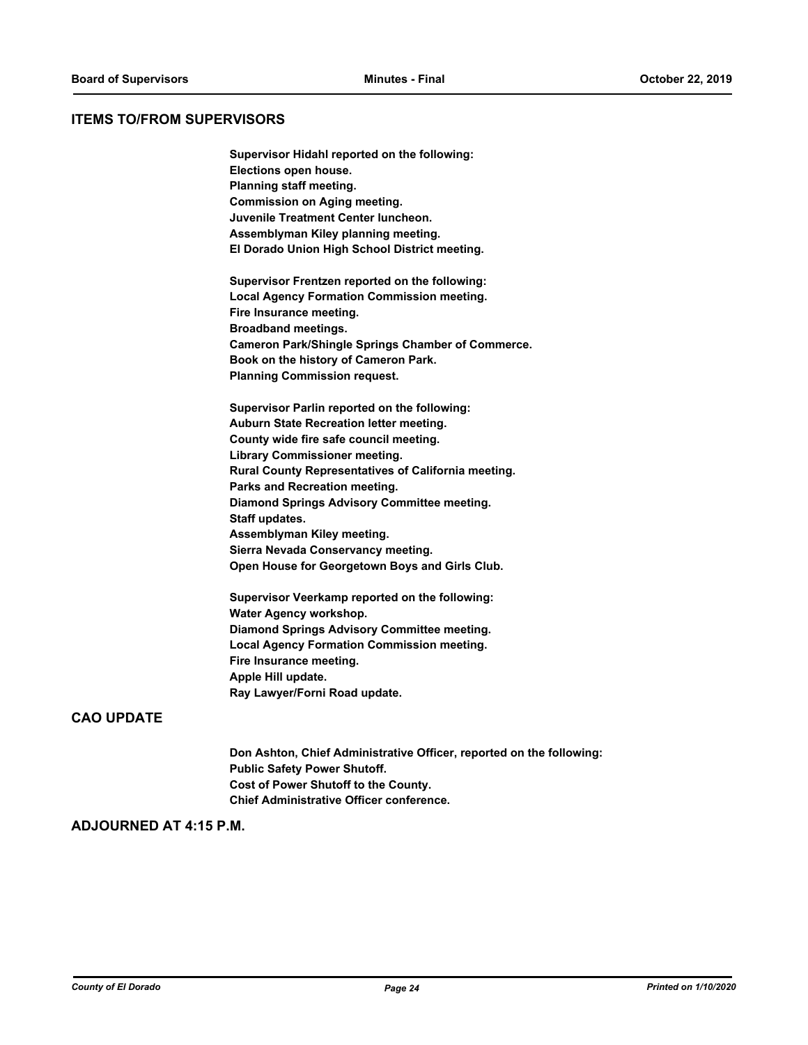#### **ITEMS TO/FROM SUPERVISORS**

| Supervisor Hidahl reported on the following:             |
|----------------------------------------------------------|
| Elections open house.                                    |
| Planning staff meeting.                                  |
| <b>Commission on Aging meeting.</b>                      |
| Juvenile Treatment Center luncheon.                      |
| Assemblyman Kiley planning meeting.                      |
| El Dorado Union High School District meeting.            |
| Supervisor Frentzen reported on the following:           |
| <b>Local Agency Formation Commission meeting.</b>        |
| Fire Insurance meeting.                                  |
| <b>Broadband meetings.</b>                               |
| <b>Cameron Park/Shingle Springs Chamber of Commerce.</b> |
| Book on the history of Cameron Park.                     |
| <b>Planning Commission request.</b>                      |
| Supervisor Parlin reported on the following:             |
| Auburn State Recreation letter meeting.                  |
| County wide fire safe council meeting.                   |
| Library Commissioner meeting.                            |
| Rural County Representatives of California meeting.      |
| Parks and Recreation meeting.                            |
| Diamond Springs Advisory Committee meeting.              |
| Staff updates.                                           |
| Assemblyman Kiley meeting.                               |
| Sierra Nevada Conservancy meeting.                       |
| Open House for Georgetown Boys and Girls Club.           |
| Supervisor Veerkamp reported on the following:           |
|                                                          |

**Water Agency workshop. Diamond Springs Advisory Committee meeting. Local Agency Formation Commission meeting. Fire Insurance meeting. Apple Hill update. Ray Lawyer/Forni Road update.**

# **CAO UPDATE**

**Don Ashton, Chief Administrative Officer, reported on the following: Public Safety Power Shutoff. Cost of Power Shutoff to the County. Chief Administrative Officer conference.**

#### **ADJOURNED AT 4:15 P.M.**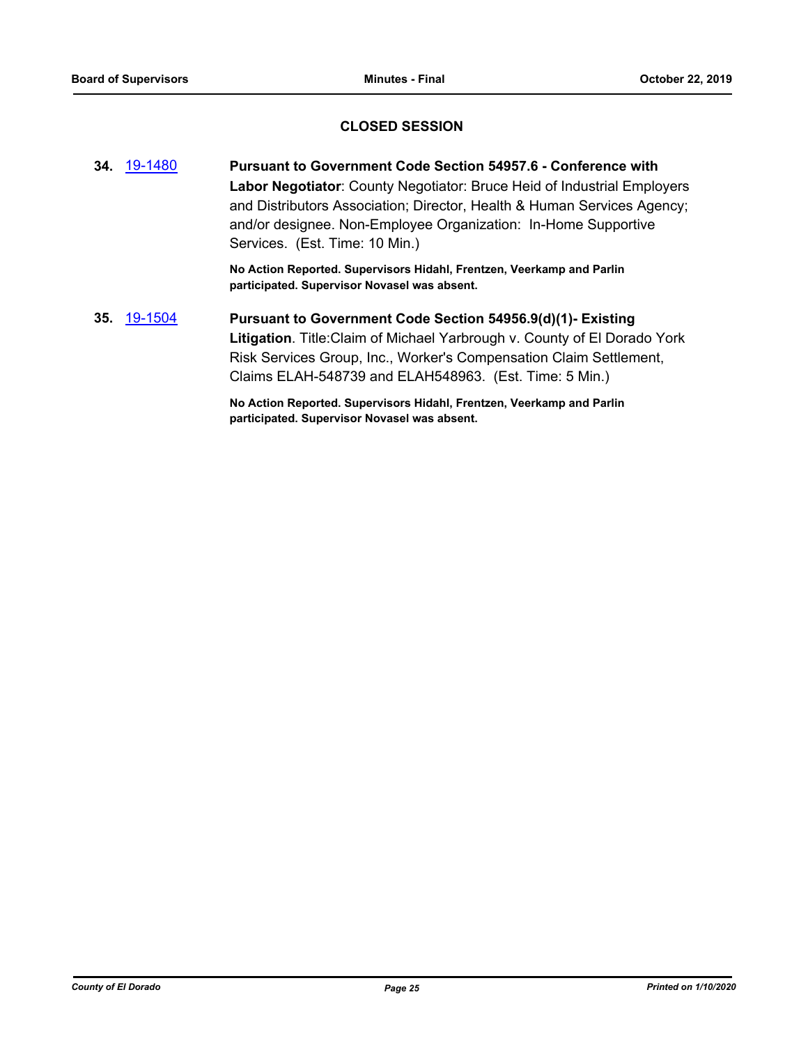# **CLOSED SESSION**

**34.** [19-1480](http://eldorado.legistar.com/gateway.aspx?m=l&id=/matter.aspx?key=26801) **Pursuant to Government Code Section 54957.6 - Conference with Labor Negotiator**: County Negotiator: Bruce Heid of Industrial Employers and Distributors Association; Director, Health & Human Services Agency; and/or designee. Non-Employee Organization: In-Home Supportive Services. (Est. Time: 10 Min.)

> **No Action Reported. Supervisors Hidahl, Frentzen, Veerkamp and Parlin participated. Supervisor Novasel was absent.**

**35.** [19-1504](http://eldorado.legistar.com/gateway.aspx?m=l&id=/matter.aspx?key=26826) **Pursuant to Government Code Section 54956.9(d)(1)- Existing Litigation**. Title:Claim of Michael Yarbrough v. County of El Dorado York Risk Services Group, Inc., Worker's Compensation Claim Settlement, Claims ELAH-548739 and ELAH548963. (Est. Time: 5 Min.)

> **No Action Reported. Supervisors Hidahl, Frentzen, Veerkamp and Parlin participated. Supervisor Novasel was absent.**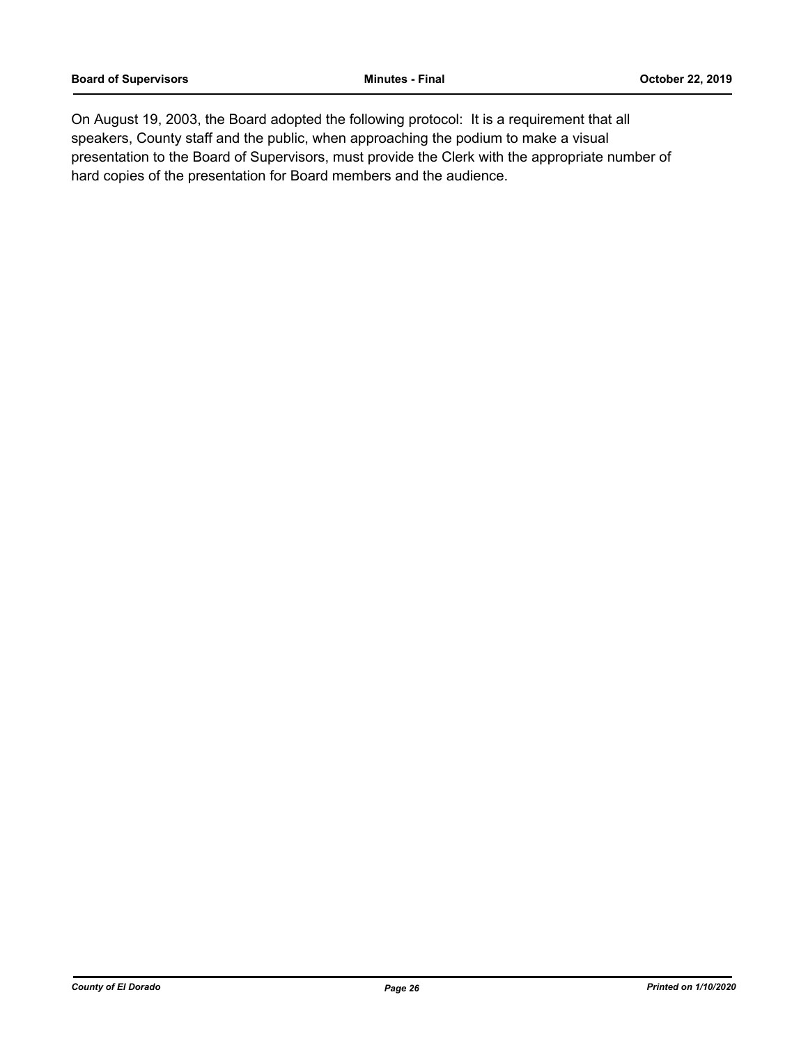On August 19, 2003, the Board adopted the following protocol: It is a requirement that all speakers, County staff and the public, when approaching the podium to make a visual presentation to the Board of Supervisors, must provide the Clerk with the appropriate number of hard copies of the presentation for Board members and the audience.